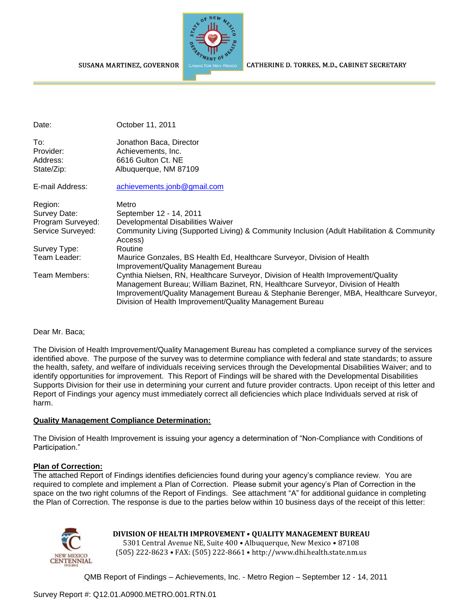

CATHERINE D. TORRES, M.D., CABINET SECRETARY

| Date:             | October 11, 2011                                                                                                                                                                                                                                                                                                         |
|-------------------|--------------------------------------------------------------------------------------------------------------------------------------------------------------------------------------------------------------------------------------------------------------------------------------------------------------------------|
| To:               | Jonathon Baca, Director                                                                                                                                                                                                                                                                                                  |
| Provider:         | Achievements, Inc.                                                                                                                                                                                                                                                                                                       |
| Address:          | 6616 Gulton Ct. NE                                                                                                                                                                                                                                                                                                       |
| State/Zip:        | Albuquerque, NM 87109                                                                                                                                                                                                                                                                                                    |
| E-mail Address:   | achievements.jonb@gmail.com                                                                                                                                                                                                                                                                                              |
| Region:           | Metro                                                                                                                                                                                                                                                                                                                    |
| Survey Date:      | September 12 - 14, 2011                                                                                                                                                                                                                                                                                                  |
| Program Surveyed: | Developmental Disabilities Waiver                                                                                                                                                                                                                                                                                        |
| Service Surveyed: | Community Living (Supported Living) & Community Inclusion (Adult Habilitation & Community<br>Access)                                                                                                                                                                                                                     |
| Survey Type:      | Routine                                                                                                                                                                                                                                                                                                                  |
| Team Leader:      | Maurice Gonzales, BS Health Ed, Healthcare Surveyor, Division of Health<br>Improvement/Quality Management Bureau                                                                                                                                                                                                         |
| Team Members:     | Cynthia Nielsen, RN, Healthcare Surveyor, Division of Health Improvement/Quality<br>Management Bureau; William Bazinet, RN, Healthcare Surveyor, Division of Health<br>Improvement/Quality Management Bureau & Stephanie Berenger, MBA, Healthcare Surveyor,<br>Division of Health Improvement/Quality Management Bureau |

#### Dear Mr. Baca;

The Division of Health Improvement/Quality Management Bureau has completed a compliance survey of the services identified above. The purpose of the survey was to determine compliance with federal and state standards; to assure the health, safety, and welfare of individuals receiving services through the Developmental Disabilities Waiver; and to identify opportunities for improvement. This Report of Findings will be shared with the Developmental Disabilities Supports Division for their use in determining your current and future provider contracts. Upon receipt of this letter and Report of Findings your agency must immediately correct all deficiencies which place Individuals served at risk of harm.

#### **Quality Management Compliance Determination:**

The Division of Health Improvement is issuing your agency a determination of "Non-Compliance with Conditions of Participation."

#### **Plan of Correction:**

The attached Report of Findings identifies deficiencies found during your agency"s compliance review. You are required to complete and implement a Plan of Correction. Please submit your agency"s Plan of Correction in the space on the two right columns of the Report of Findings. See attachment "A" for additional guidance in completing the Plan of Correction. The response is due to the parties below within 10 business days of the receipt of this letter:



# **DIVISION OF HEALTH IMPROVEMENT** • **QUALITY MANAGEMENT BUREAU**

5301 Central Avenue NE, Suite 400 • Albuquerque, New Mexico • 87108 (505) 222-8623 • FAX: (505) 222-8661 • http://www.dhi.health.state.nm.us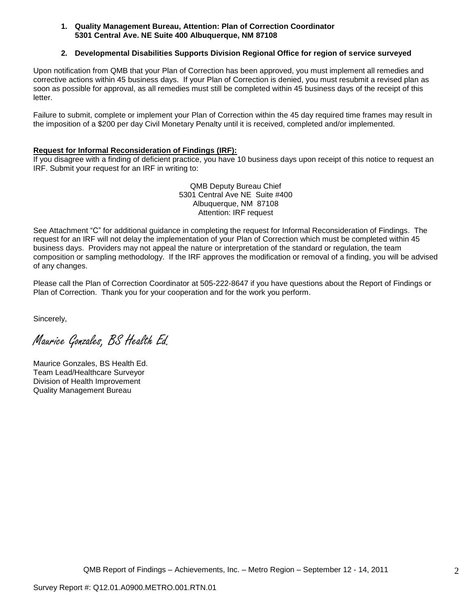#### **1. Quality Management Bureau, Attention: Plan of Correction Coordinator 5301 Central Ave. NE Suite 400 Albuquerque, NM 87108**

### **2. Developmental Disabilities Supports Division Regional Office for region of service surveyed**

Upon notification from QMB that your Plan of Correction has been approved, you must implement all remedies and corrective actions within 45 business days. If your Plan of Correction is denied, you must resubmit a revised plan as soon as possible for approval, as all remedies must still be completed within 45 business days of the receipt of this letter.

Failure to submit, complete or implement your Plan of Correction within the 45 day required time frames may result in the imposition of a \$200 per day Civil Monetary Penalty until it is received, completed and/or implemented.

#### **Request for Informal Reconsideration of Findings (IRF):**

If you disagree with a finding of deficient practice, you have 10 business days upon receipt of this notice to request an IRF. Submit your request for an IRF in writing to:

> QMB Deputy Bureau Chief 5301 Central Ave NE Suite #400 Albuquerque, NM 87108 Attention: IRF request

See Attachment "C" for additional guidance in completing the request for Informal Reconsideration of Findings. The request for an IRF will not delay the implementation of your Plan of Correction which must be completed within 45 business days. Providers may not appeal the nature or interpretation of the standard or regulation, the team composition or sampling methodology. If the IRF approves the modification or removal of a finding, you will be advised of any changes.

Please call the Plan of Correction Coordinator at 505-222-8647 if you have questions about the Report of Findings or Plan of Correction. Thank you for your cooperation and for the work you perform.

Sincerely,

Maurice Gonzales, BS Health Ed.

Maurice Gonzales, BS Health Ed. Team Lead/Healthcare Surveyor Division of Health Improvement Quality Management Bureau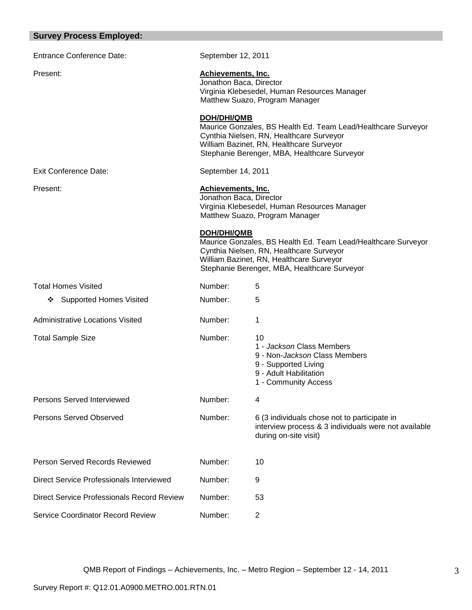# **Survey Process Employed:**

| <b>Entrance Conference Date:</b>           | September 12, 2011                                                                                                                     |                                                                                                                                                                                                       |  |
|--------------------------------------------|----------------------------------------------------------------------------------------------------------------------------------------|-------------------------------------------------------------------------------------------------------------------------------------------------------------------------------------------------------|--|
| Present:                                   | <b>Achievements, Inc.</b><br>Jonathon Baca, Director<br>Virginia Klebesedel, Human Resources Manager<br>Matthew Suazo, Program Manager |                                                                                                                                                                                                       |  |
|                                            | <b>DOH/DHI/QMB</b>                                                                                                                     | Maurice Gonzales, BS Health Ed. Team Lead/Healthcare Surveyor<br>Cynthia Nielsen, RN, Healthcare Surveyor<br>William Bazinet, RN, Healthcare Surveyor<br>Stephanie Berenger, MBA, Healthcare Surveyor |  |
| <b>Exit Conference Date:</b>               | September 14, 2011                                                                                                                     |                                                                                                                                                                                                       |  |
| Present:                                   | <b>Achievements, Inc.</b><br>Jonathon Baca, Director                                                                                   | Virginia Klebesedel, Human Resources Manager<br>Matthew Suazo, Program Manager                                                                                                                        |  |
|                                            | <b>DOH/DHI/QMB</b>                                                                                                                     | Maurice Gonzales, BS Health Ed. Team Lead/Healthcare Surveyor<br>Cynthia Nielsen, RN, Healthcare Surveyor<br>William Bazinet, RN, Healthcare Surveyor<br>Stephanie Berenger, MBA, Healthcare Surveyor |  |
| <b>Total Homes Visited</b>                 | Number:                                                                                                                                | 5                                                                                                                                                                                                     |  |
| ❖ Supported Homes Visited                  | Number:                                                                                                                                | 5                                                                                                                                                                                                     |  |
| <b>Administrative Locations Visited</b>    | Number:                                                                                                                                | 1                                                                                                                                                                                                     |  |
| <b>Total Sample Size</b>                   | Number:                                                                                                                                | 10<br>1 - Jackson Class Members<br>9 - Non-Jackson Class Members<br>9 - Supported Living<br>9 - Adult Habilitation<br>1 - Community Access                                                            |  |
| <b>Persons Served Interviewed</b>          | Number:                                                                                                                                | 4                                                                                                                                                                                                     |  |
| <b>Persons Served Observed</b>             | Number:                                                                                                                                | 6 (3 individuals chose not to participate in<br>interview process & 3 individuals were not available<br>during on-site visit)                                                                         |  |
| Person Served Records Reviewed             | Number:                                                                                                                                | 10                                                                                                                                                                                                    |  |
| Direct Service Professionals Interviewed   | Number:                                                                                                                                | 9                                                                                                                                                                                                     |  |
| Direct Service Professionals Record Review | Number:                                                                                                                                | 53                                                                                                                                                                                                    |  |
| <b>Service Coordinator Record Review</b>   | Number:                                                                                                                                | $\mathbf{2}$                                                                                                                                                                                          |  |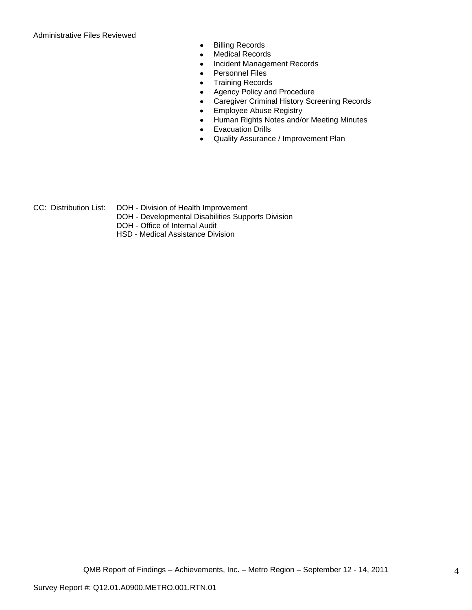Administrative Files Reviewed

- Billing Records  $\bullet$
- Medical Records  $\bullet$
- Incident Management Records  $\bullet$
- Personnel Files  $\bullet$
- Training Records  $\bullet$
- Agency Policy and Procedure  $\bullet$
- Caregiver Criminal History Screening Records  $\bullet$
- Employee Abuse Registry  $\bullet$
- Human Rights Notes and/or Meeting Minutes  $\bullet$
- Evacuation Drills  $\bullet$
- Quality Assurance / Improvement Plan  $\bullet$
- CC: Distribution List: DOH Division of Health Improvement
	- DOH Developmental Disabilities Supports Division
	- DOH Office of Internal Audit
	- HSD Medical Assistance Division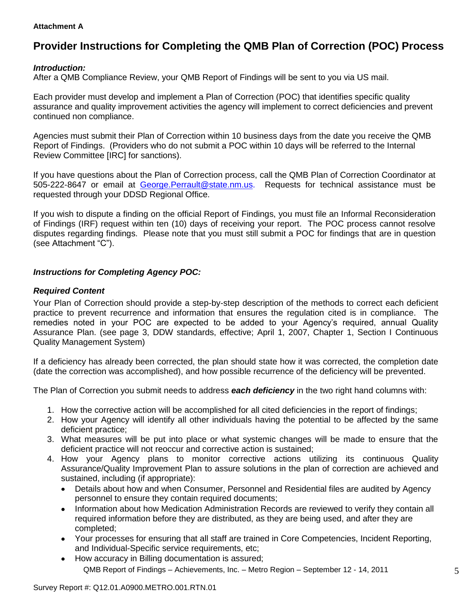#### **Attachment A**

# **Provider Instructions for Completing the QMB Plan of Correction (POC) Process**

## *Introduction:*

After a QMB Compliance Review, your QMB Report of Findings will be sent to you via US mail.

Each provider must develop and implement a Plan of Correction (POC) that identifies specific quality assurance and quality improvement activities the agency will implement to correct deficiencies and prevent continued non compliance.

Agencies must submit their Plan of Correction within 10 business days from the date you receive the QMB Report of Findings. (Providers who do not submit a POC within 10 days will be referred to the Internal Review Committee [IRC] for sanctions).

If you have questions about the Plan of Correction process, call the QMB Plan of Correction Coordinator at 505-222-8647 or email at George.Perrault@state.nm.us. Requests for technical assistance must be requested through your DDSD Regional Office.

If you wish to dispute a finding on the official Report of Findings, you must file an Informal Reconsideration of Findings (IRF) request within ten (10) days of receiving your report. The POC process cannot resolve disputes regarding findings. Please note that you must still submit a POC for findings that are in question (see Attachment "C").

# *Instructions for Completing Agency POC:*

## *Required Content*

Your Plan of Correction should provide a step-by-step description of the methods to correct each deficient practice to prevent recurrence and information that ensures the regulation cited is in compliance. The remedies noted in your POC are expected to be added to your Agency"s required, annual Quality Assurance Plan. (see page 3, DDW standards, effective; April 1, 2007, Chapter 1, Section I Continuous Quality Management System)

If a deficiency has already been corrected, the plan should state how it was corrected, the completion date (date the correction was accomplished), and how possible recurrence of the deficiency will be prevented.

The Plan of Correction you submit needs to address *each deficiency* in the two right hand columns with:

- 1. How the corrective action will be accomplished for all cited deficiencies in the report of findings;
- 2. How your Agency will identify all other individuals having the potential to be affected by the same deficient practice;
- 3. What measures will be put into place or what systemic changes will be made to ensure that the deficient practice will not reoccur and corrective action is sustained;
- 4. How your Agency plans to monitor corrective actions utilizing its continuous Quality Assurance/Quality Improvement Plan to assure solutions in the plan of correction are achieved and sustained, including (if appropriate):
	- Details about how and when Consumer, Personnel and Residential files are audited by Agency  $\bullet$ personnel to ensure they contain required documents;
	- Information about how Medication Administration Records are reviewed to verify they contain all  $\bullet$ required information before they are distributed, as they are being used, and after they are completed;
	- Your processes for ensuring that all staff are trained in Core Competencies, Incident Reporting, and Individual-Specific service requirements, etc;
	- QMB Report of Findings Achievements, Inc. Metro Region September 12 14, 2011 How accuracy in Billing documentation is assured;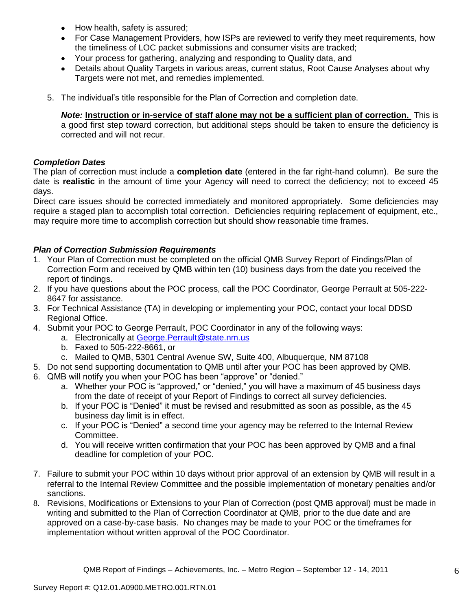- How health, safety is assured;  $\bullet$
- For Case Management Providers, how ISPs are reviewed to verify they meet requirements, how the timeliness of LOC packet submissions and consumer visits are tracked;
- Your process for gathering, analyzing and responding to Quality data, and
- Details about Quality Targets in various areas, current status, Root Cause Analyses about why Targets were not met, and remedies implemented.
- 5. The individual"s title responsible for the Plan of Correction and completion date.

*Note:* **Instruction or in-service of staff alone may not be a sufficient plan of correction.** This is a good first step toward correction, but additional steps should be taken to ensure the deficiency is corrected and will not recur.

# *Completion Dates*

The plan of correction must include a **completion date** (entered in the far right-hand column). Be sure the date is **realistic** in the amount of time your Agency will need to correct the deficiency; not to exceed 45 days.

Direct care issues should be corrected immediately and monitored appropriately. Some deficiencies may require a staged plan to accomplish total correction. Deficiencies requiring replacement of equipment, etc., may require more time to accomplish correction but should show reasonable time frames.

# *Plan of Correction Submission Requirements*

- 1. Your Plan of Correction must be completed on the official QMB Survey Report of Findings/Plan of Correction Form and received by QMB within ten (10) business days from the date you received the report of findings.
- 2. If you have questions about the POC process, call the POC Coordinator, George Perrault at 505-222- 8647 for assistance.
- 3. For Technical Assistance (TA) in developing or implementing your POC, contact your local DDSD Regional Office.
- 4. Submit your POC to George Perrault, POC Coordinator in any of the following ways:
	- a. Electronically at [George.Perrault@state.nm.us](mailto:George.Perrault@state.nm.us)
	- b. Faxed to 505-222-8661, or
	- c. Mailed to QMB, 5301 Central Avenue SW, Suite 400, Albuquerque, NM 87108
- 5. Do not send supporting documentation to QMB until after your POC has been approved by QMB.
- 6. QMB will notify you when your POC has been "approve" or "denied."
	- a. Whether your POC is "approved," or "denied," you will have a maximum of 45 business days from the date of receipt of your Report of Findings to correct all survey deficiencies.
	- b. If your POC is "Denied" it must be revised and resubmitted as soon as possible, as the 45 business day limit is in effect.
	- c. If your POC is "Denied" a second time your agency may be referred to the Internal Review Committee.
	- d. You will receive written confirmation that your POC has been approved by QMB and a final deadline for completion of your POC.
- 7. Failure to submit your POC within 10 days without prior approval of an extension by QMB will result in a referral to the Internal Review Committee and the possible implementation of monetary penalties and/or sanctions.
- 8. Revisions, Modifications or Extensions to your Plan of Correction (post QMB approval) must be made in writing and submitted to the Plan of Correction Coordinator at QMB, prior to the due date and are approved on a case-by-case basis. No changes may be made to your POC or the timeframes for implementation without written approval of the POC Coordinator.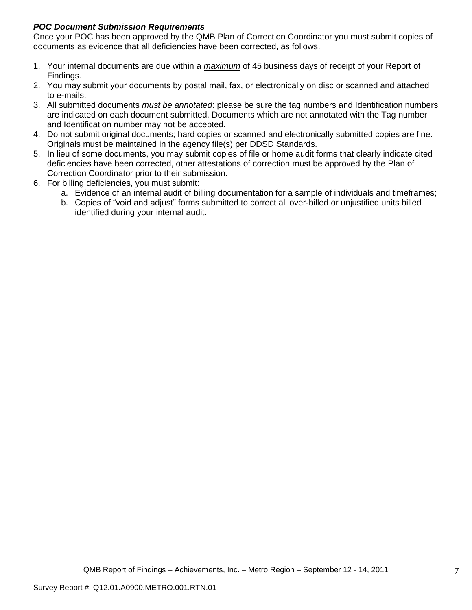# *POC Document Submission Requirements*

Once your POC has been approved by the QMB Plan of Correction Coordinator you must submit copies of documents as evidence that all deficiencies have been corrected, as follows.

- 1. Your internal documents are due within a *maximum* of 45 business days of receipt of your Report of Findings.
- 2. You may submit your documents by postal mail, fax, or electronically on disc or scanned and attached to e-mails.
- 3. All submitted documents *must be annotated*: please be sure the tag numbers and Identification numbers are indicated on each document submitted. Documents which are not annotated with the Tag number and Identification number may not be accepted.
- 4. Do not submit original documents; hard copies or scanned and electronically submitted copies are fine. Originals must be maintained in the agency file(s) per DDSD Standards.
- 5. In lieu of some documents, you may submit copies of file or home audit forms that clearly indicate cited deficiencies have been corrected, other attestations of correction must be approved by the Plan of Correction Coordinator prior to their submission.
- 6. For billing deficiencies, you must submit:
	- a. Evidence of an internal audit of billing documentation for a sample of individuals and timeframes;
	- b. Copies of "void and adjust" forms submitted to correct all over-billed or unjustified units billed identified during your internal audit.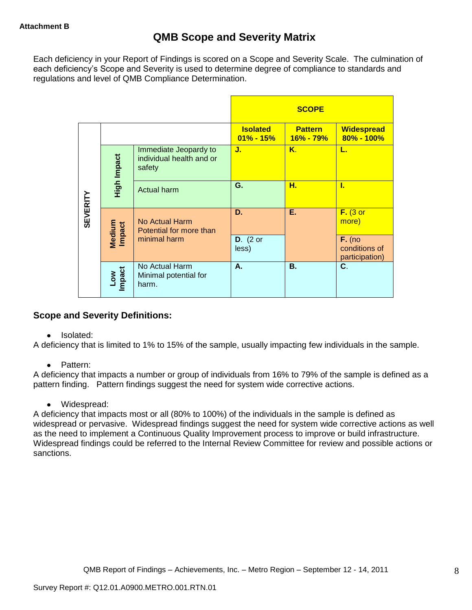Each deficiency in your Report of Findings is scored on a Scope and Severity Scale. The culmination of each deficiency"s Scope and Severity is used to determine degree of compliance to standards and regulations and level of QMB Compliance Determination.

|                 |                      |                                                             |                                  | <b>SCOPE</b>                |                                             |
|-----------------|----------------------|-------------------------------------------------------------|----------------------------------|-----------------------------|---------------------------------------------|
|                 |                      |                                                             | <b>Isolated</b><br>$01\% - 15\%$ | <b>Pattern</b><br>16% - 79% | <b>Widespread</b><br>$80\% - 100\%$         |
|                 | High Impact          | Immediate Jeopardy to<br>individual health and or<br>safety | J.                               | K.                          | L.                                          |
|                 |                      | <b>Actual harm</b>                                          | G.                               | н.                          | L                                           |
| <b>SEVERITY</b> | Medium<br>Impact     | No Actual Harm<br>Potential for more than                   | D.                               | Е.                          | $F.$ (3 or<br>more)                         |
|                 |                      | minimal harm                                                | $D.$ (2 or<br>less)              |                             | $F.$ (no<br>conditions of<br>participation) |
|                 | <b>Impact</b><br>Low | No Actual Harm<br>Minimal potential for<br>harm.            | А.                               | <b>B.</b>                   | C.                                          |

# **Scope and Severity Definitions:**

• Isolated:

A deficiency that is limited to 1% to 15% of the sample, usually impacting few individuals in the sample.

• Pattern:

A deficiency that impacts a number or group of individuals from 16% to 79% of the sample is defined as a pattern finding. Pattern findings suggest the need for system wide corrective actions.

• Widespread:

A deficiency that impacts most or all (80% to 100%) of the individuals in the sample is defined as widespread or pervasive. Widespread findings suggest the need for system wide corrective actions as well as the need to implement a Continuous Quality Improvement process to improve or build infrastructure. Widespread findings could be referred to the Internal Review Committee for review and possible actions or sanctions.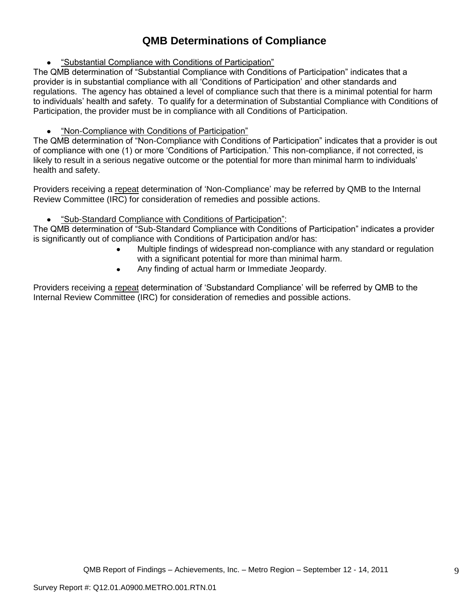# **QMB Determinations of Compliance**

"Substantial Compliance with Conditions of Participation"

The QMB determination of "Substantial Compliance with Conditions of Participation" indicates that a provider is in substantial compliance with all "Conditions of Participation" and other standards and regulations. The agency has obtained a level of compliance such that there is a minimal potential for harm to individuals" health and safety. To qualify for a determination of Substantial Compliance with Conditions of Participation, the provider must be in compliance with all Conditions of Participation.

# "Non-Compliance with Conditions of Participation"

The QMB determination of "Non-Compliance with Conditions of Participation" indicates that a provider is out of compliance with one (1) or more "Conditions of Participation." This non-compliance, if not corrected, is likely to result in a serious negative outcome or the potential for more than minimal harm to individuals' health and safety.

Providers receiving a repeat determination of 'Non-Compliance' may be referred by QMB to the Internal Review Committee (IRC) for consideration of remedies and possible actions.

#### $\bullet$ "Sub-Standard Compliance with Conditions of Participation":

The QMB determination of "Sub-Standard Compliance with Conditions of Participation" indicates a provider is significantly out of compliance with Conditions of Participation and/or has:

- Multiple findings of widespread non-compliance with any standard or regulation with a significant potential for more than minimal harm.
- Any finding of actual harm or Immediate Jeopardy.  $\bullet$

Providers receiving a repeat determination of 'Substandard Compliance' will be referred by QMB to the Internal Review Committee (IRC) for consideration of remedies and possible actions.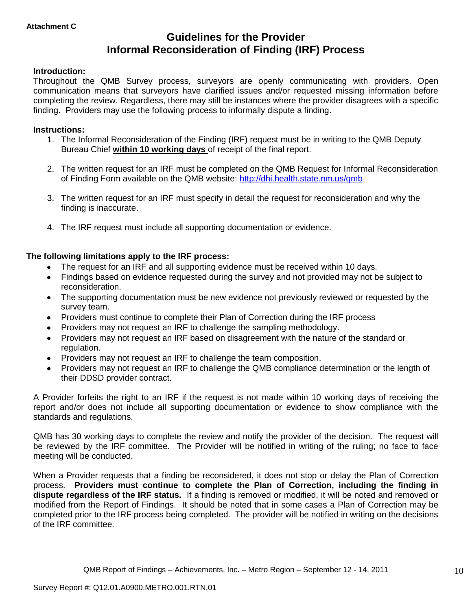# **Guidelines for the Provider Informal Reconsideration of Finding (IRF) Process**

## **Introduction:**

Throughout the QMB Survey process, surveyors are openly communicating with providers. Open communication means that surveyors have clarified issues and/or requested missing information before completing the review. Regardless, there may still be instances where the provider disagrees with a specific finding. Providers may use the following process to informally dispute a finding.

#### **Instructions:**

- 1. The Informal Reconsideration of the Finding (IRF) request must be in writing to the QMB Deputy Bureau Chief **within 10 working days** of receipt of the final report.
- 2. The written request for an IRF must be completed on the QMB Request for Informal Reconsideration of Finding Form available on the QMB website:<http://dhi.health.state.nm.us/qmb>
- 3. The written request for an IRF must specify in detail the request for reconsideration and why the finding is inaccurate.
- 4. The IRF request must include all supporting documentation or evidence.

## **The following limitations apply to the IRF process:**

- The request for an IRF and all supporting evidence must be received within 10 days.
- Findings based on evidence requested during the survey and not provided may not be subject to reconsideration.
- The supporting documentation must be new evidence not previously reviewed or requested by the survey team.
- Providers must continue to complete their Plan of Correction during the IRF process  $\bullet$
- Providers may not request an IRF to challenge the sampling methodology.
- Providers may not request an IRF based on disagreement with the nature of the standard or  $\bullet$ regulation.
- Providers may not request an IRF to challenge the team composition.
- Providers may not request an IRF to challenge the QMB compliance determination or the length of  $\bullet$ their DDSD provider contract.

A Provider forfeits the right to an IRF if the request is not made within 10 working days of receiving the report and/or does not include all supporting documentation or evidence to show compliance with the standards and regulations.

QMB has 30 working days to complete the review and notify the provider of the decision. The request will be reviewed by the IRF committee. The Provider will be notified in writing of the ruling; no face to face meeting will be conducted.

When a Provider requests that a finding be reconsidered, it does not stop or delay the Plan of Correction process. **Providers must continue to complete the Plan of Correction, including the finding in dispute regardless of the IRF status.** If a finding is removed or modified, it will be noted and removed or modified from the Report of Findings. It should be noted that in some cases a Plan of Correction may be completed prior to the IRF process being completed. The provider will be notified in writing on the decisions of the IRF committee.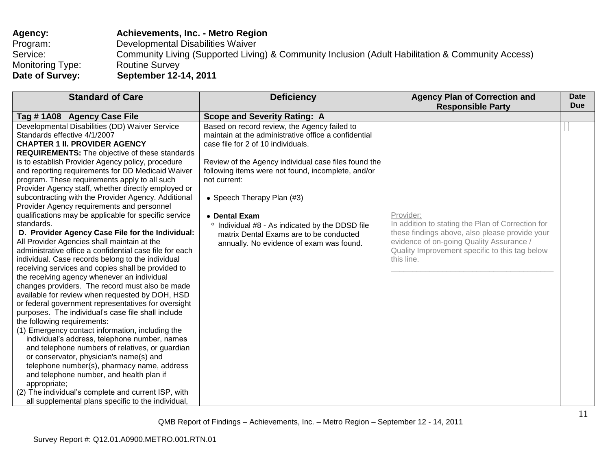| Agency:                 | Achievements, Inc. - Metro Region                                                                 |
|-------------------------|---------------------------------------------------------------------------------------------------|
| Program:                | Developmental Disabilities Waiver                                                                 |
| Service:                | Community Living (Supported Living) & Community Inclusion (Adult Habilitation & Community Access) |
| <b>Monitoring Type:</b> | <b>Routine Survey</b>                                                                             |
| Date of Survey:         | September 12-14, 2011                                                                             |

| <b>Standard of Care</b>                                                                                                                                                                                                                                                                                                                                                                                                                                                                                                                                                                                                                                                                                                                                                                                                                                                                                                                                                                                                                                                                                                                                                                                                                                                                                                                                                                                                                                                                                                                                                            | <b>Deficiency</b>                                                                                                                                                                                                                                                                                                                                                                                                                                                 | <b>Agency Plan of Correction and</b><br><b>Responsible Party</b>                                                                                                                                                             | <b>Date</b><br><b>Due</b> |
|------------------------------------------------------------------------------------------------------------------------------------------------------------------------------------------------------------------------------------------------------------------------------------------------------------------------------------------------------------------------------------------------------------------------------------------------------------------------------------------------------------------------------------------------------------------------------------------------------------------------------------------------------------------------------------------------------------------------------------------------------------------------------------------------------------------------------------------------------------------------------------------------------------------------------------------------------------------------------------------------------------------------------------------------------------------------------------------------------------------------------------------------------------------------------------------------------------------------------------------------------------------------------------------------------------------------------------------------------------------------------------------------------------------------------------------------------------------------------------------------------------------------------------------------------------------------------------|-------------------------------------------------------------------------------------------------------------------------------------------------------------------------------------------------------------------------------------------------------------------------------------------------------------------------------------------------------------------------------------------------------------------------------------------------------------------|------------------------------------------------------------------------------------------------------------------------------------------------------------------------------------------------------------------------------|---------------------------|
| Tag #1A08 Agency Case File                                                                                                                                                                                                                                                                                                                                                                                                                                                                                                                                                                                                                                                                                                                                                                                                                                                                                                                                                                                                                                                                                                                                                                                                                                                                                                                                                                                                                                                                                                                                                         | <b>Scope and Severity Rating: A</b>                                                                                                                                                                                                                                                                                                                                                                                                                               |                                                                                                                                                                                                                              |                           |
| Developmental Disabilities (DD) Waiver Service<br>Standards effective 4/1/2007<br><b>CHAPTER 1 II. PROVIDER AGENCY</b><br><b>REQUIREMENTS:</b> The objective of these standards<br>is to establish Provider Agency policy, procedure<br>and reporting requirements for DD Medicaid Waiver<br>program. These requirements apply to all such<br>Provider Agency staff, whether directly employed or<br>subcontracting with the Provider Agency. Additional<br>Provider Agency requirements and personnel<br>qualifications may be applicable for specific service<br>standards.<br>D. Provider Agency Case File for the Individual:<br>All Provider Agencies shall maintain at the<br>administrative office a confidential case file for each<br>individual. Case records belong to the individual<br>receiving services and copies shall be provided to<br>the receiving agency whenever an individual<br>changes providers. The record must also be made<br>available for review when requested by DOH, HSD<br>or federal government representatives for oversight<br>purposes. The individual's case file shall include<br>the following requirements:<br>(1) Emergency contact information, including the<br>individual's address, telephone number, names<br>and telephone numbers of relatives, or guardian<br>or conservator, physician's name(s) and<br>telephone number(s), pharmacy name, address<br>and telephone number, and health plan if<br>appropriate;<br>(2) The individual's complete and current ISP, with<br>all supplemental plans specific to the individual, | Based on record review, the Agency failed to<br>maintain at the administrative office a confidential<br>case file for 2 of 10 individuals.<br>Review of the Agency individual case files found the<br>following items were not found, incomplete, and/or<br>not current:<br>• Speech Therapy Plan (#3)<br>• Dental Exam<br>° Individual #8 - As indicated by the DDSD file<br>matrix Dental Exams are to be conducted<br>annually. No evidence of exam was found. | Provider:<br>In addition to stating the Plan of Correction for<br>these findings above, also please provide your<br>evidence of on-going Quality Assurance /<br>Quality Improvement specific to this tag below<br>this line. |                           |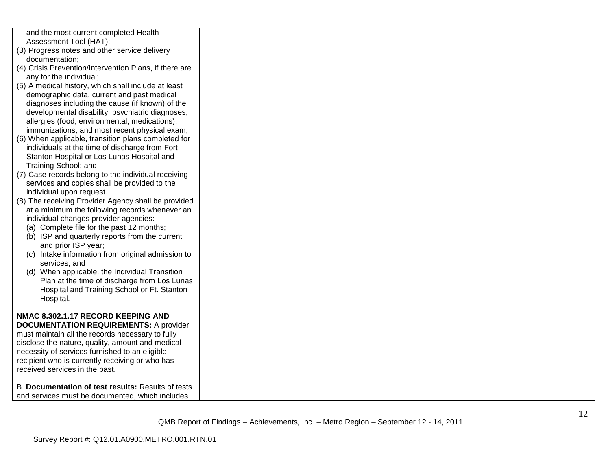| and the most current completed Health                           |  |  |
|-----------------------------------------------------------------|--|--|
| Assessment Tool (HAT);                                          |  |  |
| (3) Progress notes and other service delivery<br>documentation; |  |  |
| (4) Crisis Prevention/Intervention Plans, if there are          |  |  |
| any for the individual;                                         |  |  |
| (5) A medical history, which shall include at least             |  |  |
| demographic data, current and past medical                      |  |  |
| diagnoses including the cause (if known) of the                 |  |  |
| developmental disability, psychiatric diagnoses,                |  |  |
| allergies (food, environmental, medications),                   |  |  |
| immunizations, and most recent physical exam;                   |  |  |
| (6) When applicable, transition plans completed for             |  |  |
| individuals at the time of discharge from Fort                  |  |  |
| Stanton Hospital or Los Lunas Hospital and                      |  |  |
| Training School; and                                            |  |  |
| (7) Case records belong to the individual receiving             |  |  |
| services and copies shall be provided to the                    |  |  |
| individual upon request.                                        |  |  |
| (8) The receiving Provider Agency shall be provided             |  |  |
| at a minimum the following records whenever an                  |  |  |
| individual changes provider agencies:                           |  |  |
| (a) Complete file for the past 12 months;                       |  |  |
| (b) ISP and quarterly reports from the current                  |  |  |
| and prior ISP year;                                             |  |  |
| (c) Intake information from original admission to               |  |  |
| services; and                                                   |  |  |
| (d) When applicable, the Individual Transition                  |  |  |
| Plan at the time of discharge from Los Lunas                    |  |  |
| Hospital and Training School or Ft. Stanton                     |  |  |
| Hospital.                                                       |  |  |
|                                                                 |  |  |
| NMAC 8.302.1.17 RECORD KEEPING AND                              |  |  |
| <b>DOCUMENTATION REQUIREMENTS: A provider</b>                   |  |  |
| must maintain all the records necessary to fully                |  |  |
| disclose the nature, quality, amount and medical                |  |  |
| necessity of services furnished to an eligible                  |  |  |
| recipient who is currently receiving or who has                 |  |  |
| received services in the past.                                  |  |  |
| B. Documentation of test results: Results of tests              |  |  |
| and services must be documented, which includes                 |  |  |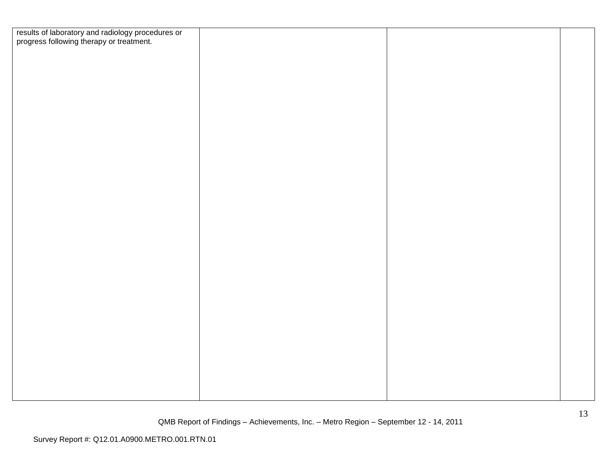| results of laboratory and radiology procedures or<br>progress following therapy or treatment. |  |
|-----------------------------------------------------------------------------------------------|--|
|                                                                                               |  |
|                                                                                               |  |
|                                                                                               |  |
|                                                                                               |  |
|                                                                                               |  |
|                                                                                               |  |
|                                                                                               |  |
|                                                                                               |  |
|                                                                                               |  |
|                                                                                               |  |
|                                                                                               |  |
|                                                                                               |  |
|                                                                                               |  |
|                                                                                               |  |
|                                                                                               |  |
|                                                                                               |  |
|                                                                                               |  |
|                                                                                               |  |
|                                                                                               |  |
|                                                                                               |  |
|                                                                                               |  |
|                                                                                               |  |
|                                                                                               |  |
|                                                                                               |  |
|                                                                                               |  |
|                                                                                               |  |
|                                                                                               |  |
|                                                                                               |  |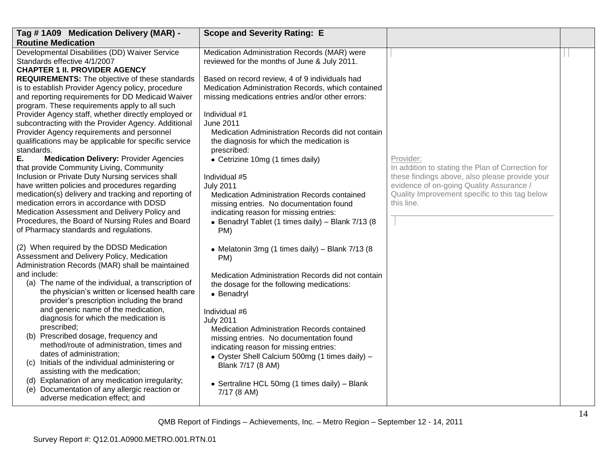| Tag #1A09 Medication Delivery (MAR) -                                                                                                                                                                                                            | <b>Scope and Severity Rating: E</b>                                                                                                                                                          |                                                                                                                                                              |  |
|--------------------------------------------------------------------------------------------------------------------------------------------------------------------------------------------------------------------------------------------------|----------------------------------------------------------------------------------------------------------------------------------------------------------------------------------------------|--------------------------------------------------------------------------------------------------------------------------------------------------------------|--|
| <b>Routine Medication</b>                                                                                                                                                                                                                        |                                                                                                                                                                                              |                                                                                                                                                              |  |
| Developmental Disabilities (DD) Waiver Service<br>Standards effective 4/1/2007<br><b>CHAPTER 1 II. PROVIDER AGENCY</b>                                                                                                                           | Medication Administration Records (MAR) were<br>reviewed for the months of June & July 2011.                                                                                                 |                                                                                                                                                              |  |
| <b>REQUIREMENTS:</b> The objective of these standards<br>is to establish Provider Agency policy, procedure<br>and reporting requirements for DD Medicaid Waiver<br>program. These requirements apply to all such                                 | Based on record review, 4 of 9 individuals had<br>Medication Administration Records, which contained<br>missing medications entries and/or other errors:                                     |                                                                                                                                                              |  |
| Provider Agency staff, whether directly employed or<br>subcontracting with the Provider Agency. Additional<br>Provider Agency requirements and personnel<br>qualifications may be applicable for specific service<br>standards.                  | Individual #1<br><b>June 2011</b><br>Medication Administration Records did not contain<br>the diagnosis for which the medication is<br>prescribed:                                           |                                                                                                                                                              |  |
| Ε.<br><b>Medication Delivery: Provider Agencies</b><br>that provide Community Living, Community<br>Inclusion or Private Duty Nursing services shall<br>have written policies and procedures regarding                                            | • Cetrizine 10mg (1 times daily)<br>Individual #5<br><b>July 2011</b>                                                                                                                        | Provider:<br>In addition to stating the Plan of Correction for<br>these findings above, also please provide your<br>evidence of on-going Quality Assurance / |  |
| medication(s) delivery and tracking and reporting of<br>medication errors in accordance with DDSD<br>Medication Assessment and Delivery Policy and<br>Procedures, the Board of Nursing Rules and Board<br>of Pharmacy standards and regulations. | Medication Administration Records contained<br>missing entries. No documentation found<br>indicating reason for missing entries:<br>• Benadryl Tablet (1 times daily) - Blank 7/13 (8<br>PM) | Quality Improvement specific to this tag below<br>this line.                                                                                                 |  |
| (2) When required by the DDSD Medication<br>Assessment and Delivery Policy, Medication<br>Administration Records (MAR) shall be maintained                                                                                                       | • Melatonin 3mg (1 times daily) - Blank 7/13 (8<br>PM)                                                                                                                                       |                                                                                                                                                              |  |
| and include:<br>(a) The name of the individual, a transcription of<br>the physician's written or licensed health care<br>provider's prescription including the brand                                                                             | Medication Administration Records did not contain<br>the dosage for the following medications:<br>• Benadryl                                                                                 |                                                                                                                                                              |  |
| and generic name of the medication,<br>diagnosis for which the medication is<br>prescribed;                                                                                                                                                      | Individual #6<br><b>July 2011</b><br>Medication Administration Records contained                                                                                                             |                                                                                                                                                              |  |
| (b) Prescribed dosage, frequency and<br>method/route of administration, times and<br>dates of administration;                                                                                                                                    | missing entries. No documentation found<br>indicating reason for missing entries:<br>• Oyster Shell Calcium 500mg (1 times daily) -                                                          |                                                                                                                                                              |  |
| (c) Initials of the individual administering or<br>assisting with the medication;<br>(d) Explanation of any medication irregularity;                                                                                                             | Blank 7/17 (8 AM)<br>• Sertraline HCL 50mg (1 times daily) - Blank                                                                                                                           |                                                                                                                                                              |  |
| Documentation of any allergic reaction or<br>(e)<br>adverse medication effect; and                                                                                                                                                               | $7/17$ (8 AM)                                                                                                                                                                                |                                                                                                                                                              |  |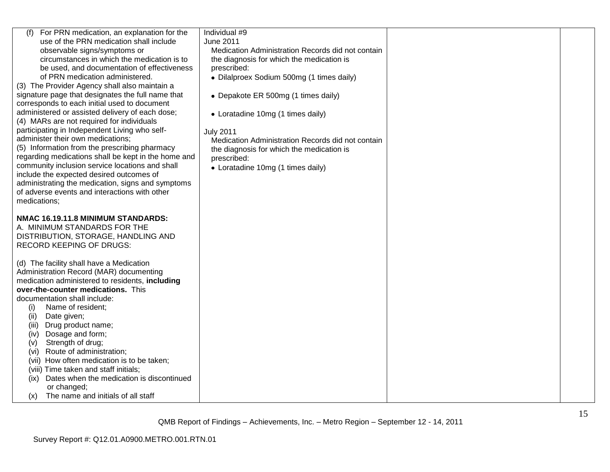| (f) For PRN medication, an explanation for the      | Individual #9                                     |  |
|-----------------------------------------------------|---------------------------------------------------|--|
| use of the PRN medication shall include             | <b>June 2011</b>                                  |  |
| observable signs/symptoms or                        | Medication Administration Records did not contain |  |
| circumstances in which the medication is to         | the diagnosis for which the medication is         |  |
| be used, and documentation of effectiveness         | prescribed:                                       |  |
| of PRN medication administered.                     | · Dilalproex Sodium 500mg (1 times daily)         |  |
| (3) The Provider Agency shall also maintain a       |                                                   |  |
| signature page that designates the full name that   | • Depakote ER 500mg (1 times daily)               |  |
| corresponds to each initial used to document        |                                                   |  |
| administered or assisted delivery of each dose;     | • Loratadine 10mg (1 times daily)                 |  |
| (4) MARs are not required for individuals           |                                                   |  |
| participating in Independent Living who self-       | <b>July 2011</b>                                  |  |
| administer their own medications;                   | Medication Administration Records did not contain |  |
| (5) Information from the prescribing pharmacy       | the diagnosis for which the medication is         |  |
| regarding medications shall be kept in the home and |                                                   |  |
| community inclusion service locations and shall     | prescribed:                                       |  |
| include the expected desired outcomes of            | • Loratadine 10mg (1 times daily)                 |  |
| administrating the medication, signs and symptoms   |                                                   |  |
| of adverse events and interactions with other       |                                                   |  |
|                                                     |                                                   |  |
| medications;                                        |                                                   |  |
|                                                     |                                                   |  |
| NMAC 16.19.11.8 MINIMUM STANDARDS:                  |                                                   |  |
| A. MINIMUM STANDARDS FOR THE                        |                                                   |  |
| DISTRIBUTION, STORAGE, HANDLING AND                 |                                                   |  |
| <b>RECORD KEEPING OF DRUGS:</b>                     |                                                   |  |
|                                                     |                                                   |  |
| (d) The facility shall have a Medication            |                                                   |  |
| Administration Record (MAR) documenting             |                                                   |  |
| medication administered to residents, including     |                                                   |  |
| over-the-counter medications. This                  |                                                   |  |
| documentation shall include:                        |                                                   |  |
| Name of resident;<br>(i)                            |                                                   |  |
| (ii)<br>Date given;                                 |                                                   |  |
| Drug product name;<br>(iii)                         |                                                   |  |
| Dosage and form;<br>(iv)                            |                                                   |  |
| Strength of drug;<br>(V)                            |                                                   |  |
| Route of administration;<br>(vi)                    |                                                   |  |
| (vii) How often medication is to be taken;          |                                                   |  |
| (viii) Time taken and staff initials;               |                                                   |  |
| Dates when the medication is discontinued<br>(ix)   |                                                   |  |
| or changed;                                         |                                                   |  |
| The name and initials of all staff<br>(x)           |                                                   |  |
|                                                     |                                                   |  |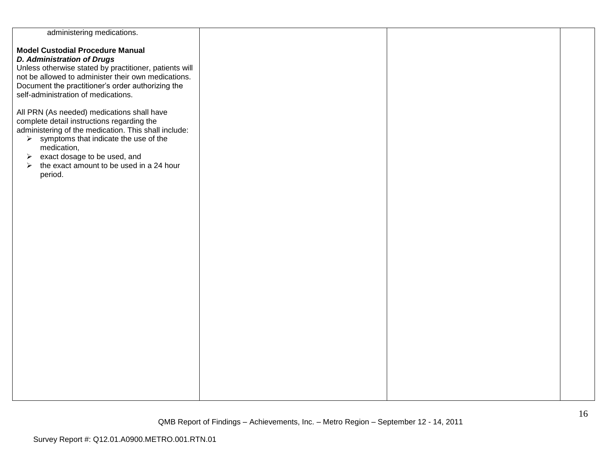| administering medications.                                        |  |  |
|-------------------------------------------------------------------|--|--|
|                                                                   |  |  |
| <b>Model Custodial Procedure Manual</b>                           |  |  |
| <b>D. Administration of Drugs</b>                                 |  |  |
|                                                                   |  |  |
| Unless otherwise stated by practitioner, patients will            |  |  |
| not be allowed to administer their own medications.               |  |  |
| Document the practitioner's order authorizing the                 |  |  |
|                                                                   |  |  |
| self-administration of medications.                               |  |  |
|                                                                   |  |  |
| All PRN (As needed) medications shall have                        |  |  |
|                                                                   |  |  |
| complete detail instructions regarding the                        |  |  |
| administering of the medication. This shall include:              |  |  |
| $\triangleright$ symptoms that indicate the use of the            |  |  |
| medication,                                                       |  |  |
|                                                                   |  |  |
| exact dosage to be used, and<br>➤                                 |  |  |
| the exact amount to be used in a 24 hour<br>$\blacktriangleright$ |  |  |
| period.                                                           |  |  |
|                                                                   |  |  |
|                                                                   |  |  |
|                                                                   |  |  |
|                                                                   |  |  |
|                                                                   |  |  |
|                                                                   |  |  |
|                                                                   |  |  |
|                                                                   |  |  |
|                                                                   |  |  |
|                                                                   |  |  |
|                                                                   |  |  |
|                                                                   |  |  |
|                                                                   |  |  |
|                                                                   |  |  |
|                                                                   |  |  |
|                                                                   |  |  |
|                                                                   |  |  |
|                                                                   |  |  |
|                                                                   |  |  |
|                                                                   |  |  |
|                                                                   |  |  |
|                                                                   |  |  |
|                                                                   |  |  |
|                                                                   |  |  |
|                                                                   |  |  |
|                                                                   |  |  |
|                                                                   |  |  |
|                                                                   |  |  |
|                                                                   |  |  |
|                                                                   |  |  |
|                                                                   |  |  |
|                                                                   |  |  |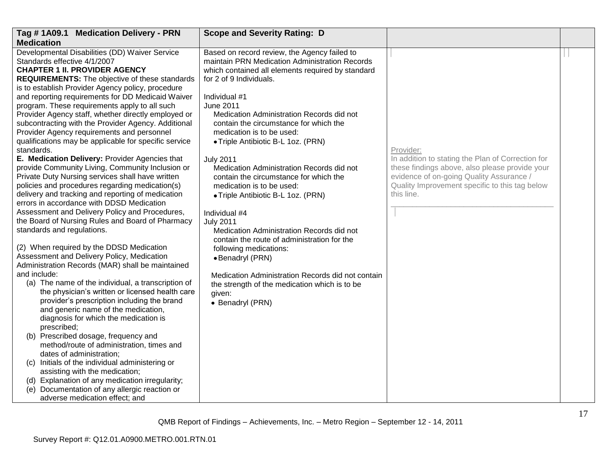| Tag #1A09.1 Medication Delivery - PRN                                                                                                                                                                                                                                                                                                 | <b>Scope and Severity Rating: D</b>                                                                                                                                                         |                                                                                                                                                                                                                 |  |
|---------------------------------------------------------------------------------------------------------------------------------------------------------------------------------------------------------------------------------------------------------------------------------------------------------------------------------------|---------------------------------------------------------------------------------------------------------------------------------------------------------------------------------------------|-----------------------------------------------------------------------------------------------------------------------------------------------------------------------------------------------------------------|--|
| <b>Medication</b>                                                                                                                                                                                                                                                                                                                     |                                                                                                                                                                                             |                                                                                                                                                                                                                 |  |
| Developmental Disabilities (DD) Waiver Service<br>Standards effective 4/1/2007<br><b>CHAPTER 1 II. PROVIDER AGENCY</b><br>REQUIREMENTS: The objective of these standards<br>is to establish Provider Agency policy, procedure                                                                                                         | Based on record review, the Agency failed to<br>maintain PRN Medication Administration Records<br>which contained all elements required by standard<br>for 2 of 9 Individuals.              |                                                                                                                                                                                                                 |  |
| and reporting requirements for DD Medicaid Waiver<br>program. These requirements apply to all such<br>Provider Agency staff, whether directly employed or<br>subcontracting with the Provider Agency. Additional<br>Provider Agency requirements and personnel<br>qualifications may be applicable for specific service<br>standards. | Individual #1<br><b>June 2011</b><br>Medication Administration Records did not<br>contain the circumstance for which the<br>medication is to be used:<br>• Triple Antibiotic B-L 1oz. (PRN) | Provider:                                                                                                                                                                                                       |  |
| E. Medication Delivery: Provider Agencies that<br>provide Community Living, Community Inclusion or<br>Private Duty Nursing services shall have written<br>policies and procedures regarding medication(s)<br>delivery and tracking and reporting of medication<br>errors in accordance with DDSD Medication                           | <b>July 2011</b><br>Medication Administration Records did not<br>contain the circumstance for which the<br>medication is to be used:<br>• Triple Antibiotic B-L 1oz. (PRN)                  | In addition to stating the Plan of Correction for<br>these findings above, also please provide your<br>evidence of on-going Quality Assurance /<br>Quality Improvement specific to this tag below<br>this line. |  |
| Assessment and Delivery Policy and Procedures,<br>the Board of Nursing Rules and Board of Pharmacy<br>standards and regulations.<br>(2) When required by the DDSD Medication                                                                                                                                                          | Individual #4<br><b>July 2011</b><br>Medication Administration Records did not<br>contain the route of administration for the<br>following medications:                                     |                                                                                                                                                                                                                 |  |
| Assessment and Delivery Policy, Medication<br>Administration Records (MAR) shall be maintained                                                                                                                                                                                                                                        | · Benadryl (PRN)                                                                                                                                                                            |                                                                                                                                                                                                                 |  |
| and include:<br>(a) The name of the individual, a transcription of<br>the physician's written or licensed health care<br>provider's prescription including the brand<br>and generic name of the medication,<br>diagnosis for which the medication is<br>prescribed;                                                                   | Medication Administration Records did not contain<br>the strength of the medication which is to be<br>given:<br>• Benadryl (PRN)                                                            |                                                                                                                                                                                                                 |  |
| (b) Prescribed dosage, frequency and<br>method/route of administration, times and<br>dates of administration;                                                                                                                                                                                                                         |                                                                                                                                                                                             |                                                                                                                                                                                                                 |  |
| (c) Initials of the individual administering or<br>assisting with the medication;                                                                                                                                                                                                                                                     |                                                                                                                                                                                             |                                                                                                                                                                                                                 |  |
| (d) Explanation of any medication irregularity;<br>(e) Documentation of any allergic reaction or<br>adverse medication effect; and                                                                                                                                                                                                    |                                                                                                                                                                                             |                                                                                                                                                                                                                 |  |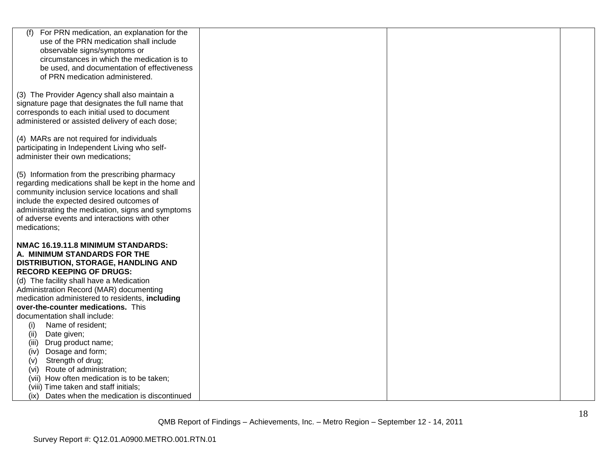| (f)<br>For PRN medication, an explanation for the   |  |  |
|-----------------------------------------------------|--|--|
| use of the PRN medication shall include             |  |  |
| observable signs/symptoms or                        |  |  |
| circumstances in which the medication is to         |  |  |
| be used, and documentation of effectiveness         |  |  |
| of PRN medication administered.                     |  |  |
|                                                     |  |  |
| (3) The Provider Agency shall also maintain a       |  |  |
| signature page that designates the full name that   |  |  |
| corresponds to each initial used to document        |  |  |
| administered or assisted delivery of each dose;     |  |  |
| (4) MARs are not required for individuals           |  |  |
| participating in Independent Living who self-       |  |  |
| administer their own medications;                   |  |  |
|                                                     |  |  |
| (5) Information from the prescribing pharmacy       |  |  |
| regarding medications shall be kept in the home and |  |  |
| community inclusion service locations and shall     |  |  |
| include the expected desired outcomes of            |  |  |
| administrating the medication, signs and symptoms   |  |  |
| of adverse events and interactions with other       |  |  |
| medications;                                        |  |  |
| NMAC 16.19.11.8 MINIMUM STANDARDS:                  |  |  |
| A. MINIMUM STANDARDS FOR THE                        |  |  |
| DISTRIBUTION, STORAGE, HANDLING AND                 |  |  |
| <b>RECORD KEEPING OF DRUGS:</b>                     |  |  |
| (d) The facility shall have a Medication            |  |  |
| Administration Record (MAR) documenting             |  |  |
| medication administered to residents, including     |  |  |
| over-the-counter medications. This                  |  |  |
| documentation shall include:                        |  |  |
| Name of resident;<br>(i)                            |  |  |
| (ii)<br>Date given;                                 |  |  |
| (iii)<br>Drug product name;                         |  |  |
| Dosage and form;<br>(iv)                            |  |  |
| Strength of drug;<br>(v)                            |  |  |
| Route of administration;<br>(vi)                    |  |  |
| (vii) How often medication is to be taken;          |  |  |
| (viii) Time taken and staff initials;               |  |  |
| (ix) Dates when the medication is discontinued      |  |  |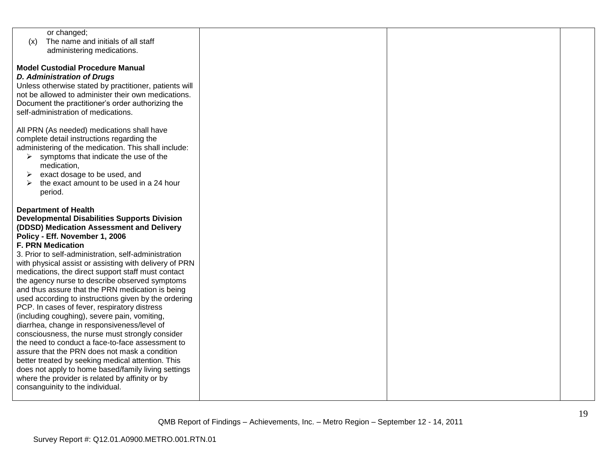| or changed;                                            |  |  |
|--------------------------------------------------------|--|--|
| The name and initials of all staff<br>(x)              |  |  |
| administering medications.                             |  |  |
|                                                        |  |  |
| <b>Model Custodial Procedure Manual</b>                |  |  |
| <b>D. Administration of Drugs</b>                      |  |  |
|                                                        |  |  |
| Unless otherwise stated by practitioner, patients will |  |  |
| not be allowed to administer their own medications.    |  |  |
| Document the practitioner's order authorizing the      |  |  |
| self-administration of medications.                    |  |  |
|                                                        |  |  |
| All PRN (As needed) medications shall have             |  |  |
| complete detail instructions regarding the             |  |  |
|                                                        |  |  |
| administering of the medication. This shall include:   |  |  |
| symptoms that indicate the use of the<br>➤             |  |  |
| medication,                                            |  |  |
| exact dosage to be used, and<br>➤                      |  |  |
| the exact amount to be used in a 24 hour               |  |  |
| period.                                                |  |  |
|                                                        |  |  |
| <b>Department of Health</b>                            |  |  |
|                                                        |  |  |
| <b>Developmental Disabilities Supports Division</b>    |  |  |
| (DDSD) Medication Assessment and Delivery              |  |  |
| Policy - Eff. November 1, 2006                         |  |  |
| <b>F. PRN Medication</b>                               |  |  |
| 3. Prior to self-administration, self-administration   |  |  |
| with physical assist or assisting with delivery of PRN |  |  |
| medications, the direct support staff must contact     |  |  |
| the agency nurse to describe observed symptoms         |  |  |
|                                                        |  |  |
| and thus assure that the PRN medication is being       |  |  |
| used according to instructions given by the ordering   |  |  |
| PCP. In cases of fever, respiratory distress           |  |  |
| (including coughing), severe pain, vomiting,           |  |  |
| diarrhea, change in responsiveness/level of            |  |  |
| consciousness, the nurse must strongly consider        |  |  |
| the need to conduct a face-to-face assessment to       |  |  |
| assure that the PRN does not mask a condition          |  |  |
|                                                        |  |  |
| better treated by seeking medical attention. This      |  |  |
| does not apply to home based/family living settings    |  |  |
| where the provider is related by affinity or by        |  |  |
| consanguinity to the individual.                       |  |  |
|                                                        |  |  |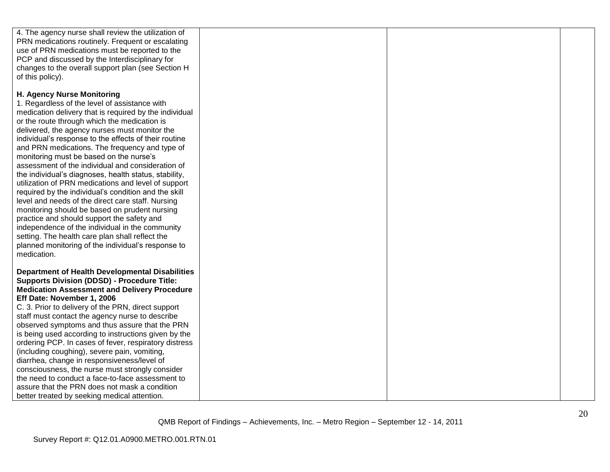| 4. The agency nurse shall review the utilization of    |  |  |
|--------------------------------------------------------|--|--|
| PRN medications routinely. Frequent or escalating      |  |  |
| use of PRN medications must be reported to the         |  |  |
| PCP and discussed by the Interdisciplinary for         |  |  |
| changes to the overall support plan (see Section H     |  |  |
| of this policy).                                       |  |  |
|                                                        |  |  |
| H. Agency Nurse Monitoring                             |  |  |
| 1. Regardless of the level of assistance with          |  |  |
| medication delivery that is required by the individual |  |  |
| or the route through which the medication is           |  |  |
| delivered, the agency nurses must monitor the          |  |  |
|                                                        |  |  |
| individual's response to the effects of their routine  |  |  |
| and PRN medications. The frequency and type of         |  |  |
| monitoring must be based on the nurse's                |  |  |
| assessment of the individual and consideration of      |  |  |
| the individual's diagnoses, health status, stability,  |  |  |
| utilization of PRN medications and level of support    |  |  |
| required by the individual's condition and the skill   |  |  |
| level and needs of the direct care staff. Nursing      |  |  |
| monitoring should be based on prudent nursing          |  |  |
| practice and should support the safety and             |  |  |
| independence of the individual in the community        |  |  |
| setting. The health care plan shall reflect the        |  |  |
| planned monitoring of the individual's response to     |  |  |
| medication.                                            |  |  |
|                                                        |  |  |
| <b>Department of Health Developmental Disabilities</b> |  |  |
| <b>Supports Division (DDSD) - Procedure Title:</b>     |  |  |
| <b>Medication Assessment and Delivery Procedure</b>    |  |  |
| Eff Date: November 1, 2006                             |  |  |
|                                                        |  |  |
| C. 3. Prior to delivery of the PRN, direct support     |  |  |
| staff must contact the agency nurse to describe        |  |  |
| observed symptoms and thus assure that the PRN         |  |  |
| is being used according to instructions given by the   |  |  |
| ordering PCP. In cases of fever, respiratory distress  |  |  |
| (including coughing), severe pain, vomiting,           |  |  |
| diarrhea, change in responsiveness/level of            |  |  |
| consciousness, the nurse must strongly consider        |  |  |
| the need to conduct a face-to-face assessment to       |  |  |
| assure that the PRN does not mask a condition          |  |  |
| better treated by seeking medical attention.           |  |  |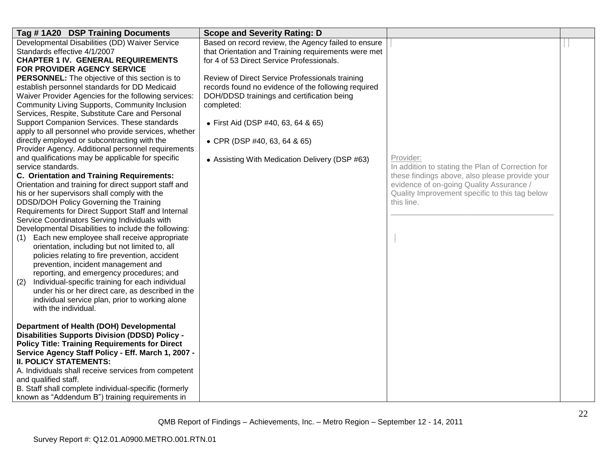| Tag #1A20 DSP Training Documents                                                                      | <b>Scope and Severity Rating: D</b>                 |                                                   |  |
|-------------------------------------------------------------------------------------------------------|-----------------------------------------------------|---------------------------------------------------|--|
| Developmental Disabilities (DD) Waiver Service                                                        | Based on record review, the Agency failed to ensure |                                                   |  |
| Standards effective 4/1/2007                                                                          | that Orientation and Training requirements were met |                                                   |  |
| <b>CHAPTER 1 IV. GENERAL REQUIREMENTS</b>                                                             | for 4 of 53 Direct Service Professionals.           |                                                   |  |
| FOR PROVIDER AGENCY SERVICE                                                                           |                                                     |                                                   |  |
| <b>PERSONNEL:</b> The objective of this section is to                                                 | Review of Direct Service Professionals training     |                                                   |  |
| establish personnel standards for DD Medicaid                                                         | records found no evidence of the following required |                                                   |  |
| Waiver Provider Agencies for the following services:                                                  | DOH/DDSD trainings and certification being          |                                                   |  |
| Community Living Supports, Community Inclusion                                                        | completed:                                          |                                                   |  |
| Services, Respite, Substitute Care and Personal                                                       |                                                     |                                                   |  |
| Support Companion Services. These standards                                                           | • First Aid (DSP #40, 63, 64 & 65)                  |                                                   |  |
| apply to all personnel who provide services, whether                                                  |                                                     |                                                   |  |
| directly employed or subcontracting with the                                                          | • CPR (DSP #40, 63, 64 & 65)                        |                                                   |  |
| Provider Agency. Additional personnel requirements                                                    |                                                     |                                                   |  |
| and qualifications may be applicable for specific                                                     | • Assisting With Medication Delivery (DSP #63)      | Provider:                                         |  |
| service standards.                                                                                    |                                                     | In addition to stating the Plan of Correction for |  |
| C. Orientation and Training Requirements:                                                             |                                                     | these findings above, also please provide your    |  |
| Orientation and training for direct support staff and                                                 |                                                     | evidence of on-going Quality Assurance /          |  |
| his or her supervisors shall comply with the                                                          |                                                     | Quality Improvement specific to this tag below    |  |
| DDSD/DOH Policy Governing the Training                                                                |                                                     | this line.                                        |  |
| Requirements for Direct Support Staff and Internal                                                    |                                                     |                                                   |  |
| Service Coordinators Serving Individuals with<br>Developmental Disabilities to include the following: |                                                     |                                                   |  |
| Each new employee shall receive appropriate                                                           |                                                     |                                                   |  |
| (1)<br>orientation, including but not limited to, all                                                 |                                                     |                                                   |  |
| policies relating to fire prevention, accident                                                        |                                                     |                                                   |  |
| prevention, incident management and                                                                   |                                                     |                                                   |  |
| reporting, and emergency procedures; and                                                              |                                                     |                                                   |  |
| Individual-specific training for each individual<br>(2)                                               |                                                     |                                                   |  |
| under his or her direct care, as described in the                                                     |                                                     |                                                   |  |
| individual service plan, prior to working alone                                                       |                                                     |                                                   |  |
| with the individual.                                                                                  |                                                     |                                                   |  |
|                                                                                                       |                                                     |                                                   |  |
| Department of Health (DOH) Developmental                                                              |                                                     |                                                   |  |
| <b>Disabilities Supports Division (DDSD) Policy -</b>                                                 |                                                     |                                                   |  |
| <b>Policy Title: Training Requirements for Direct</b>                                                 |                                                     |                                                   |  |
| Service Agency Staff Policy - Eff. March 1, 2007 -                                                    |                                                     |                                                   |  |
| <b>II. POLICY STATEMENTS:</b>                                                                         |                                                     |                                                   |  |
| A. Individuals shall receive services from competent                                                  |                                                     |                                                   |  |
| and qualified staff.                                                                                  |                                                     |                                                   |  |
| B. Staff shall complete individual-specific (formerly                                                 |                                                     |                                                   |  |
| known as "Addendum B") training requirements in                                                       |                                                     |                                                   |  |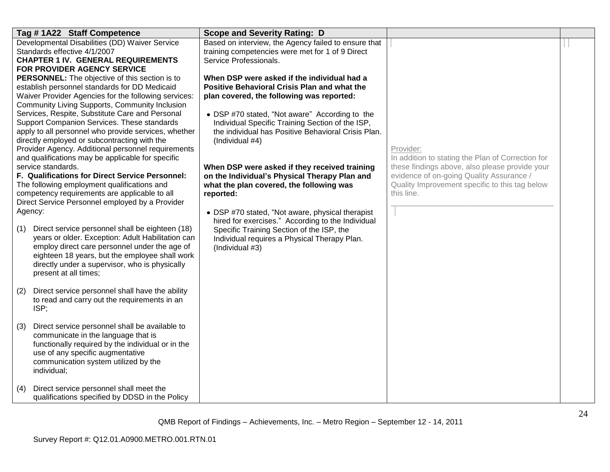| Tag #1A22 Staff Competence                                                                                                                                                                                                                                                                                                                                                                                                                                                                                                            |                        | <b>Scope and Severity Rating: D</b>                                                                                                                                                                                                                                                                          |                                                                                                                                                            |  |
|---------------------------------------------------------------------------------------------------------------------------------------------------------------------------------------------------------------------------------------------------------------------------------------------------------------------------------------------------------------------------------------------------------------------------------------------------------------------------------------------------------------------------------------|------------------------|--------------------------------------------------------------------------------------------------------------------------------------------------------------------------------------------------------------------------------------------------------------------------------------------------------------|------------------------------------------------------------------------------------------------------------------------------------------------------------|--|
| Developmental Disabilities (DD) Waiver Service<br>Standards effective 4/1/2007<br><b>CHAPTER 1 IV. GENERAL REQUIREMENTS</b><br>FOR PROVIDER AGENCY SERVICE                                                                                                                                                                                                                                                                                                                                                                            | Service Professionals. | Based on interview, the Agency failed to ensure that<br>training competencies were met for 1 of 9 Direct                                                                                                                                                                                                     |                                                                                                                                                            |  |
| <b>PERSONNEL:</b> The objective of this section is to<br>establish personnel standards for DD Medicaid<br>Waiver Provider Agencies for the following services:<br>Community Living Supports, Community Inclusion<br>Services, Respite, Substitute Care and Personal<br>Support Companion Services. These standards<br>apply to all personnel who provide services, whether<br>directly employed or subcontracting with the<br>Provider Agency. Additional personnel requirements<br>and qualifications may be applicable for specific | (Individual #4)        | When DSP were asked if the individual had a<br><b>Positive Behavioral Crisis Plan and what the</b><br>plan covered, the following was reported:<br>• DSP #70 stated, "Not aware" According to the<br>Individual Specific Training Section of the ISP,<br>the individual has Positive Behavioral Crisis Plan. | Provider:<br>In addition to stating the Plan of Correction for                                                                                             |  |
| service standards.<br>F. Qualifications for Direct Service Personnel:<br>The following employment qualifications and<br>competency requirements are applicable to all<br>Direct Service Personnel employed by a Provider                                                                                                                                                                                                                                                                                                              | reported:              | When DSP were asked if they received training<br>on the Individual's Physical Therapy Plan and<br>what the plan covered, the following was                                                                                                                                                                   | these findings above, also please provide your<br>evidence of on-going Quality Assurance /<br>Quality Improvement specific to this tag below<br>this line. |  |
| Agency:<br>Direct service personnel shall be eighteen (18)<br>(1)<br>years or older. Exception: Adult Habilitation can<br>employ direct care personnel under the age of<br>eighteen 18 years, but the employee shall work<br>directly under a supervisor, who is physically<br>present at all times;                                                                                                                                                                                                                                  | (Individual #3)        | • DSP #70 stated, "Not aware, physical therapist<br>hired for exercises." According to the Individual<br>Specific Training Section of the ISP, the<br>Individual requires a Physical Therapy Plan.                                                                                                           |                                                                                                                                                            |  |
| Direct service personnel shall have the ability<br>(2)<br>to read and carry out the requirements in an<br>ISP;                                                                                                                                                                                                                                                                                                                                                                                                                        |                        |                                                                                                                                                                                                                                                                                                              |                                                                                                                                                            |  |
| Direct service personnel shall be available to<br>(3)<br>communicate in the language that is<br>functionally required by the individual or in the<br>use of any specific augmentative<br>communication system utilized by the<br>individual;                                                                                                                                                                                                                                                                                          |                        |                                                                                                                                                                                                                                                                                                              |                                                                                                                                                            |  |
| Direct service personnel shall meet the<br>(4)<br>qualifications specified by DDSD in the Policy                                                                                                                                                                                                                                                                                                                                                                                                                                      |                        |                                                                                                                                                                                                                                                                                                              |                                                                                                                                                            |  |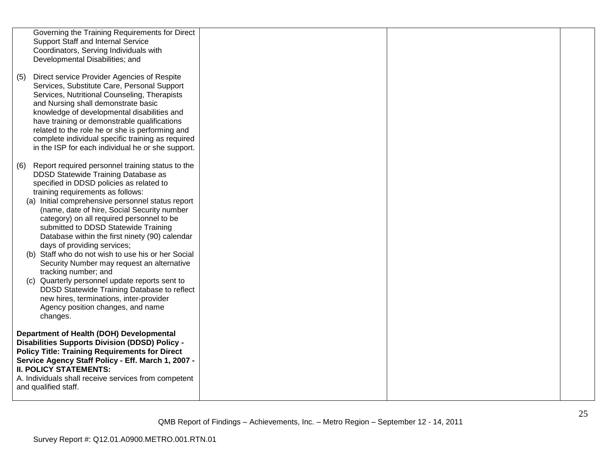|     | Governing the Training Requirements for Direct<br><b>Support Staff and Internal Service</b><br>Coordinators, Serving Individuals with<br>Developmental Disabilities; and                                                                                                                                                                                                                                                                                                                                                                                                                                                                                                                                                                                                    |  |  |
|-----|-----------------------------------------------------------------------------------------------------------------------------------------------------------------------------------------------------------------------------------------------------------------------------------------------------------------------------------------------------------------------------------------------------------------------------------------------------------------------------------------------------------------------------------------------------------------------------------------------------------------------------------------------------------------------------------------------------------------------------------------------------------------------------|--|--|
| (5) | Direct service Provider Agencies of Respite<br>Services, Substitute Care, Personal Support<br>Services, Nutritional Counseling, Therapists<br>and Nursing shall demonstrate basic<br>knowledge of developmental disabilities and<br>have training or demonstrable qualifications<br>related to the role he or she is performing and<br>complete individual specific training as required<br>in the ISP for each individual he or she support.                                                                                                                                                                                                                                                                                                                               |  |  |
| (6) | Report required personnel training status to the<br>DDSD Statewide Training Database as<br>specified in DDSD policies as related to<br>training requirements as follows:<br>(a) Initial comprehensive personnel status report<br>(name, date of hire, Social Security number<br>category) on all required personnel to be<br>submitted to DDSD Statewide Training<br>Database within the first ninety (90) calendar<br>days of providing services;<br>(b) Staff who do not wish to use his or her Social<br>Security Number may request an alternative<br>tracking number; and<br>(c) Quarterly personnel update reports sent to<br>DDSD Statewide Training Database to reflect<br>new hires, terminations, inter-provider<br>Agency position changes, and name<br>changes. |  |  |
|     | Department of Health (DOH) Developmental<br><b>Disabilities Supports Division (DDSD) Policy -</b><br><b>Policy Title: Training Requirements for Direct</b><br>Service Agency Staff Policy - Eff. March 1, 2007 -<br><b>II. POLICY STATEMENTS:</b><br>A. Individuals shall receive services from competent<br>and qualified staff.                                                                                                                                                                                                                                                                                                                                                                                                                                           |  |  |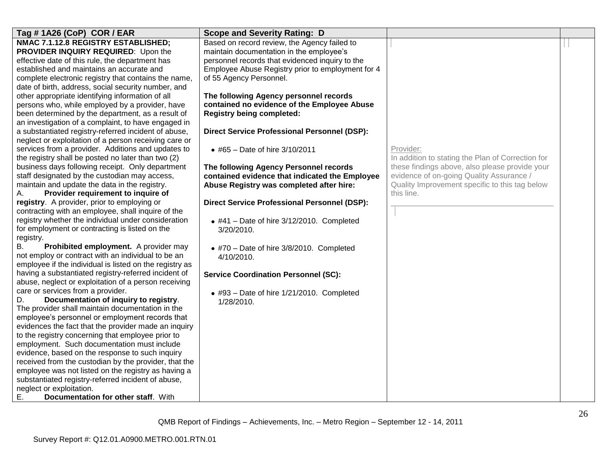| Tag #1A26 (CoP) COR / EAR                                                                                                                                                                                                                                                                                                                                                                                                                                                                                                                                                                                                                                                                                                                                                                                                                                                              | <b>Scope and Severity Rating: D</b>                                                                                          |                                                   |  |
|----------------------------------------------------------------------------------------------------------------------------------------------------------------------------------------------------------------------------------------------------------------------------------------------------------------------------------------------------------------------------------------------------------------------------------------------------------------------------------------------------------------------------------------------------------------------------------------------------------------------------------------------------------------------------------------------------------------------------------------------------------------------------------------------------------------------------------------------------------------------------------------|------------------------------------------------------------------------------------------------------------------------------|---------------------------------------------------|--|
| NMAC 7.1.12.8 REGISTRY ESTABLISHED;                                                                                                                                                                                                                                                                                                                                                                                                                                                                                                                                                                                                                                                                                                                                                                                                                                                    | Based on record review, the Agency failed to                                                                                 |                                                   |  |
| PROVIDER INQUIRY REQUIRED: Upon the                                                                                                                                                                                                                                                                                                                                                                                                                                                                                                                                                                                                                                                                                                                                                                                                                                                    | maintain documentation in the employee's                                                                                     |                                                   |  |
| effective date of this rule, the department has                                                                                                                                                                                                                                                                                                                                                                                                                                                                                                                                                                                                                                                                                                                                                                                                                                        | personnel records that evidenced inquiry to the                                                                              |                                                   |  |
| established and maintains an accurate and                                                                                                                                                                                                                                                                                                                                                                                                                                                                                                                                                                                                                                                                                                                                                                                                                                              | Employee Abuse Registry prior to employment for 4                                                                            |                                                   |  |
| complete electronic registry that contains the name,                                                                                                                                                                                                                                                                                                                                                                                                                                                                                                                                                                                                                                                                                                                                                                                                                                   | of 55 Agency Personnel.                                                                                                      |                                                   |  |
| date of birth, address, social security number, and                                                                                                                                                                                                                                                                                                                                                                                                                                                                                                                                                                                                                                                                                                                                                                                                                                    |                                                                                                                              |                                                   |  |
| other appropriate identifying information of all                                                                                                                                                                                                                                                                                                                                                                                                                                                                                                                                                                                                                                                                                                                                                                                                                                       | The following Agency personnel records                                                                                       |                                                   |  |
| persons who, while employed by a provider, have                                                                                                                                                                                                                                                                                                                                                                                                                                                                                                                                                                                                                                                                                                                                                                                                                                        | contained no evidence of the Employee Abuse                                                                                  |                                                   |  |
| been determined by the department, as a result of                                                                                                                                                                                                                                                                                                                                                                                                                                                                                                                                                                                                                                                                                                                                                                                                                                      | <b>Registry being completed:</b>                                                                                             |                                                   |  |
| an investigation of a complaint, to have engaged in                                                                                                                                                                                                                                                                                                                                                                                                                                                                                                                                                                                                                                                                                                                                                                                                                                    |                                                                                                                              |                                                   |  |
| a substantiated registry-referred incident of abuse,                                                                                                                                                                                                                                                                                                                                                                                                                                                                                                                                                                                                                                                                                                                                                                                                                                   | <b>Direct Service Professional Personnel (DSP):</b>                                                                          |                                                   |  |
| neglect or exploitation of a person receiving care or                                                                                                                                                                                                                                                                                                                                                                                                                                                                                                                                                                                                                                                                                                                                                                                                                                  |                                                                                                                              |                                                   |  |
| services from a provider. Additions and updates to                                                                                                                                                                                                                                                                                                                                                                                                                                                                                                                                                                                                                                                                                                                                                                                                                                     | • #65 - Date of hire $3/10/2011$                                                                                             | Provider:                                         |  |
| the registry shall be posted no later than two (2)                                                                                                                                                                                                                                                                                                                                                                                                                                                                                                                                                                                                                                                                                                                                                                                                                                     |                                                                                                                              | In addition to stating the Plan of Correction for |  |
| business days following receipt. Only department                                                                                                                                                                                                                                                                                                                                                                                                                                                                                                                                                                                                                                                                                                                                                                                                                                       | The following Agency Personnel records                                                                                       | these findings above, also please provide your    |  |
| staff designated by the custodian may access,                                                                                                                                                                                                                                                                                                                                                                                                                                                                                                                                                                                                                                                                                                                                                                                                                                          | contained evidence that indicated the Employee                                                                               | evidence of on-going Quality Assurance /          |  |
| maintain and update the data in the registry.                                                                                                                                                                                                                                                                                                                                                                                                                                                                                                                                                                                                                                                                                                                                                                                                                                          | Abuse Registry was completed after hire:                                                                                     | Quality Improvement specific to this tag below    |  |
| Provider requirement to inquire of<br>А.                                                                                                                                                                                                                                                                                                                                                                                                                                                                                                                                                                                                                                                                                                                                                                                                                                               |                                                                                                                              | this line.                                        |  |
| registry. A provider, prior to employing or                                                                                                                                                                                                                                                                                                                                                                                                                                                                                                                                                                                                                                                                                                                                                                                                                                            | <b>Direct Service Professional Personnel (DSP):</b>                                                                          |                                                   |  |
| contracting with an employee, shall inquire of the                                                                                                                                                                                                                                                                                                                                                                                                                                                                                                                                                                                                                                                                                                                                                                                                                                     |                                                                                                                              |                                                   |  |
| registry whether the individual under consideration                                                                                                                                                                                                                                                                                                                                                                                                                                                                                                                                                                                                                                                                                                                                                                                                                                    | $\bullet$ #41 - Date of hire 3/12/2010. Completed                                                                            |                                                   |  |
| for employment or contracting is listed on the                                                                                                                                                                                                                                                                                                                                                                                                                                                                                                                                                                                                                                                                                                                                                                                                                                         | 3/20/2010.                                                                                                                   |                                                   |  |
| registry.                                                                                                                                                                                                                                                                                                                                                                                                                                                                                                                                                                                                                                                                                                                                                                                                                                                                              |                                                                                                                              |                                                   |  |
| <b>B.</b><br>Prohibited employment. A provider may                                                                                                                                                                                                                                                                                                                                                                                                                                                                                                                                                                                                                                                                                                                                                                                                                                     | $\bullet$ #70 - Date of hire 3/8/2010. Completed                                                                             |                                                   |  |
|                                                                                                                                                                                                                                                                                                                                                                                                                                                                                                                                                                                                                                                                                                                                                                                                                                                                                        |                                                                                                                              |                                                   |  |
|                                                                                                                                                                                                                                                                                                                                                                                                                                                                                                                                                                                                                                                                                                                                                                                                                                                                                        |                                                                                                                              |                                                   |  |
|                                                                                                                                                                                                                                                                                                                                                                                                                                                                                                                                                                                                                                                                                                                                                                                                                                                                                        |                                                                                                                              |                                                   |  |
|                                                                                                                                                                                                                                                                                                                                                                                                                                                                                                                                                                                                                                                                                                                                                                                                                                                                                        |                                                                                                                              |                                                   |  |
|                                                                                                                                                                                                                                                                                                                                                                                                                                                                                                                                                                                                                                                                                                                                                                                                                                                                                        |                                                                                                                              |                                                   |  |
|                                                                                                                                                                                                                                                                                                                                                                                                                                                                                                                                                                                                                                                                                                                                                                                                                                                                                        |                                                                                                                              |                                                   |  |
|                                                                                                                                                                                                                                                                                                                                                                                                                                                                                                                                                                                                                                                                                                                                                                                                                                                                                        |                                                                                                                              |                                                   |  |
|                                                                                                                                                                                                                                                                                                                                                                                                                                                                                                                                                                                                                                                                                                                                                                                                                                                                                        |                                                                                                                              |                                                   |  |
|                                                                                                                                                                                                                                                                                                                                                                                                                                                                                                                                                                                                                                                                                                                                                                                                                                                                                        |                                                                                                                              |                                                   |  |
|                                                                                                                                                                                                                                                                                                                                                                                                                                                                                                                                                                                                                                                                                                                                                                                                                                                                                        |                                                                                                                              |                                                   |  |
|                                                                                                                                                                                                                                                                                                                                                                                                                                                                                                                                                                                                                                                                                                                                                                                                                                                                                        |                                                                                                                              |                                                   |  |
|                                                                                                                                                                                                                                                                                                                                                                                                                                                                                                                                                                                                                                                                                                                                                                                                                                                                                        |                                                                                                                              |                                                   |  |
|                                                                                                                                                                                                                                                                                                                                                                                                                                                                                                                                                                                                                                                                                                                                                                                                                                                                                        |                                                                                                                              |                                                   |  |
|                                                                                                                                                                                                                                                                                                                                                                                                                                                                                                                                                                                                                                                                                                                                                                                                                                                                                        |                                                                                                                              |                                                   |  |
|                                                                                                                                                                                                                                                                                                                                                                                                                                                                                                                                                                                                                                                                                                                                                                                                                                                                                        |                                                                                                                              |                                                   |  |
|                                                                                                                                                                                                                                                                                                                                                                                                                                                                                                                                                                                                                                                                                                                                                                                                                                                                                        |                                                                                                                              |                                                   |  |
| not employ or contract with an individual to be an<br>employee if the individual is listed on the registry as<br>having a substantiated registry-referred incident of<br>abuse, neglect or exploitation of a person receiving<br>care or services from a provider.<br>Documentation of inquiry to registry.<br>D.<br>The provider shall maintain documentation in the<br>employee's personnel or employment records that<br>evidences the fact that the provider made an inquiry<br>to the registry concerning that employee prior to<br>employment. Such documentation must include<br>evidence, based on the response to such inquiry<br>received from the custodian by the provider, that the<br>employee was not listed on the registry as having a<br>substantiated registry-referred incident of abuse,<br>neglect or exploitation.<br>Ε.<br>Documentation for other staff. With | 4/10/2010.<br><b>Service Coordination Personnel (SC):</b><br>$\bullet$ #93 - Date of hire 1/21/2010. Completed<br>1/28/2010. |                                                   |  |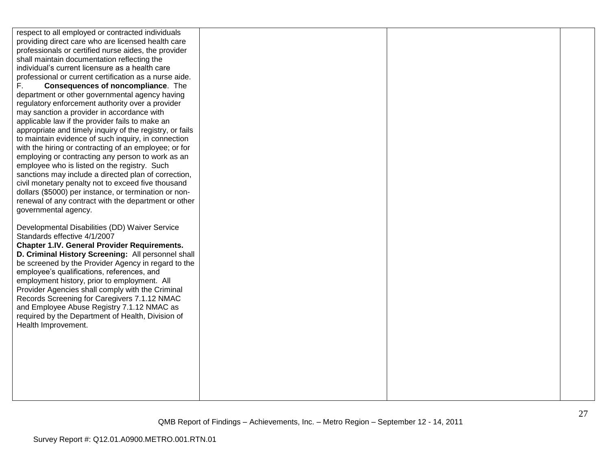respect to all employed or contracted individuals providing direct care who are licensed health care professionals or certified nurse aides, the provider shall maintain documentation reflecting the individual"s current licensure as a health care professional or current certification as a nurse aide. F. **Consequences of noncompliance**. The department or other governmental agency having regulatory enforcement authority over a provider may sanction a provider in accordance with applicable law if the provider fails to make an appropriate and timely inquiry of the registry, or fails to maintain evidence of such inquiry, in connection with the hiring or contracting of an employee; or for employing or contracting any person to work as an employee who is listed on the registry. Such sanctions may include a directed plan of correction, civil monetary penalty not to exceed five thousand dollars (\$5000) per instance, or termination or nonrenewal of any contract with the department or other governmental agency. Developmental Disabilities (DD) Waiver Service Standards effective 4/1/2007 **Chapter 1.IV. General Provider Requirements. D. Criminal History Screening:** All personnel shall be screened by the Provider Agency in regard to the employee"s qualifications, references, and employment history, prior to employment. All Provider Agencies shall comply with the Criminal Records Screening for Caregivers 7.1.12 NMAC and Employee Abuse Registry 7.1.12 NMAC as required by the Department of Health, Division of Health Improvement.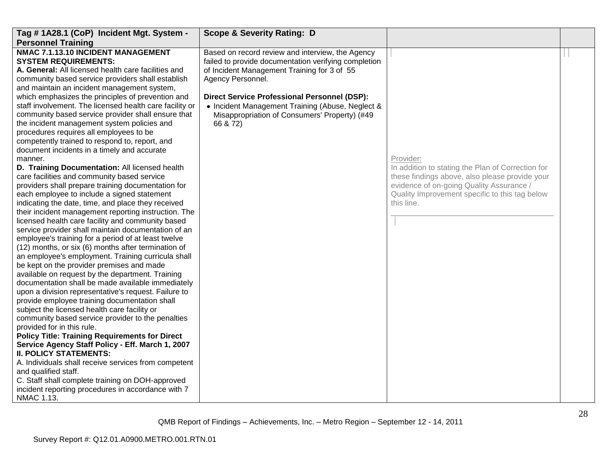| Tag #1A28.1 (CoP) Incident Mgt. System -                                                                                                                                                                                                                                                                                                                                                                                                                                                                                                                                                                                                                                                                                                                                                                                                                                                                                                                                                                                                                                                                                                                                                                                                                                                                                                                                                                                                                                                                                                                                                                                                                                                                                                                                                                                                                                                                                                                                                          | <b>Scope &amp; Severity Rating: D</b>                                                                                                                                                                                                                                                                                                                |                                                                                                                                                                                                                              |  |
|---------------------------------------------------------------------------------------------------------------------------------------------------------------------------------------------------------------------------------------------------------------------------------------------------------------------------------------------------------------------------------------------------------------------------------------------------------------------------------------------------------------------------------------------------------------------------------------------------------------------------------------------------------------------------------------------------------------------------------------------------------------------------------------------------------------------------------------------------------------------------------------------------------------------------------------------------------------------------------------------------------------------------------------------------------------------------------------------------------------------------------------------------------------------------------------------------------------------------------------------------------------------------------------------------------------------------------------------------------------------------------------------------------------------------------------------------------------------------------------------------------------------------------------------------------------------------------------------------------------------------------------------------------------------------------------------------------------------------------------------------------------------------------------------------------------------------------------------------------------------------------------------------------------------------------------------------------------------------------------------------|------------------------------------------------------------------------------------------------------------------------------------------------------------------------------------------------------------------------------------------------------------------------------------------------------------------------------------------------------|------------------------------------------------------------------------------------------------------------------------------------------------------------------------------------------------------------------------------|--|
|                                                                                                                                                                                                                                                                                                                                                                                                                                                                                                                                                                                                                                                                                                                                                                                                                                                                                                                                                                                                                                                                                                                                                                                                                                                                                                                                                                                                                                                                                                                                                                                                                                                                                                                                                                                                                                                                                                                                                                                                   |                                                                                                                                                                                                                                                                                                                                                      |                                                                                                                                                                                                                              |  |
| <b>Personnel Training</b><br>NMAC 7.1.13.10 INCIDENT MANAGEMENT<br><b>SYSTEM REQUIREMENTS:</b><br>A. General: All licensed health care facilities and<br>community based service providers shall establish<br>and maintain an incident management system,<br>which emphasizes the principles of prevention and<br>staff involvement. The licensed health care facility or<br>community based service provider shall ensure that<br>the incident management system policies and<br>procedures requires all employees to be<br>competently trained to respond to, report, and<br>document incidents in a timely and accurate<br>manner.<br>D. Training Documentation: All licensed health<br>care facilities and community based service<br>providers shall prepare training documentation for<br>each employee to include a signed statement<br>indicating the date, time, and place they received<br>their incident management reporting instruction. The<br>licensed health care facility and community based<br>service provider shall maintain documentation of an<br>employee's training for a period of at least twelve<br>(12) months, or six (6) months after termination of<br>an employee's employment. Training curricula shall<br>be kept on the provider premises and made<br>available on request by the department. Training<br>documentation shall be made available immediately<br>upon a division representative's request. Failure to<br>provide employee training documentation shall<br>subject the licensed health care facility or<br>community based service provider to the penalties<br>provided for in this rule.<br><b>Policy Title: Training Requirements for Direct</b><br>Service Agency Staff Policy - Eff. March 1, 2007<br><b>II. POLICY STATEMENTS:</b><br>A. Individuals shall receive services from competent<br>and qualified staff.<br>C. Staff shall complete training on DOH-approved<br>incident reporting procedures in accordance with 7<br>NMAC 1.13. | Based on record review and interview, the Agency<br>failed to provide documentation verifying completion<br>of Incident Management Training for 3 of 55<br>Agency Personnel.<br><b>Direct Service Professional Personnel (DSP):</b><br>• Incident Management Training (Abuse, Neglect &<br>Misappropriation of Consumers' Property) (#49<br>66 & 72) | Provider:<br>In addition to stating the Plan of Correction for<br>these findings above, also please provide your<br>evidence of on-going Quality Assurance /<br>Quality Improvement specific to this tag below<br>this line. |  |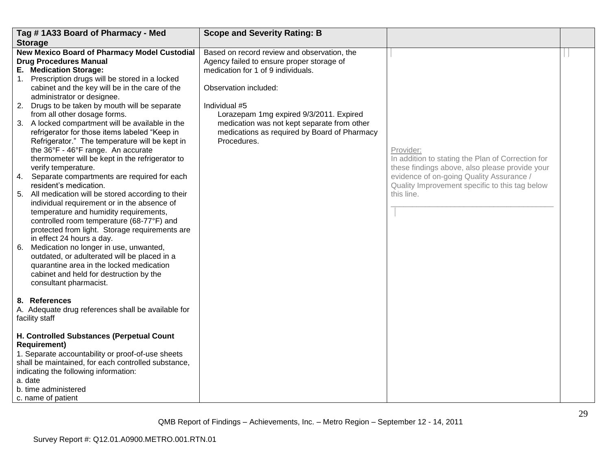| Tag #1A33 Board of Pharmacy - Med                                                                                                                                                                                                                                                                                                                                                                                                                                                                                                                                                                                                                                                                                                                                                                                                                                                                                                                                                                                                                                                                                                                                                 | <b>Scope and Severity Rating: B</b>                                                                                                                                                                                                                                                                                               |                                                                                                                                                                                                                              |  |
|-----------------------------------------------------------------------------------------------------------------------------------------------------------------------------------------------------------------------------------------------------------------------------------------------------------------------------------------------------------------------------------------------------------------------------------------------------------------------------------------------------------------------------------------------------------------------------------------------------------------------------------------------------------------------------------------------------------------------------------------------------------------------------------------------------------------------------------------------------------------------------------------------------------------------------------------------------------------------------------------------------------------------------------------------------------------------------------------------------------------------------------------------------------------------------------|-----------------------------------------------------------------------------------------------------------------------------------------------------------------------------------------------------------------------------------------------------------------------------------------------------------------------------------|------------------------------------------------------------------------------------------------------------------------------------------------------------------------------------------------------------------------------|--|
| <b>Storage</b>                                                                                                                                                                                                                                                                                                                                                                                                                                                                                                                                                                                                                                                                                                                                                                                                                                                                                                                                                                                                                                                                                                                                                                    |                                                                                                                                                                                                                                                                                                                                   |                                                                                                                                                                                                                              |  |
| <b>New Mexico Board of Pharmacy Model Custodial</b><br><b>Drug Procedures Manual</b><br>E. Medication Storage:<br>1. Prescription drugs will be stored in a locked<br>cabinet and the key will be in the care of the<br>administrator or designee.<br>2. Drugs to be taken by mouth will be separate<br>from all other dosage forms.<br>3. A locked compartment will be available in the<br>refrigerator for those items labeled "Keep in<br>Refrigerator." The temperature will be kept in<br>the 36°F - 46°F range. An accurate<br>thermometer will be kept in the refrigerator to<br>verify temperature.<br>4. Separate compartments are required for each<br>resident's medication.<br>5. All medication will be stored according to their<br>individual requirement or in the absence of<br>temperature and humidity requirements,<br>controlled room temperature (68-77°F) and<br>protected from light. Storage requirements are<br>in effect 24 hours a day.<br>6. Medication no longer in use, unwanted,<br>outdated, or adulterated will be placed in a<br>quarantine area in the locked medication<br>cabinet and held for destruction by the<br>consultant pharmacist. | Based on record review and observation, the<br>Agency failed to ensure proper storage of<br>medication for 1 of 9 individuals.<br>Observation included:<br>Individual #5<br>Lorazepam 1mg expired 9/3/2011. Expired<br>medication was not kept separate from other<br>medications as required by Board of Pharmacy<br>Procedures. | Provider:<br>In addition to stating the Plan of Correction for<br>these findings above, also please provide your<br>evidence of on-going Quality Assurance /<br>Quality Improvement specific to this tag below<br>this line. |  |
| 8. References<br>A. Adequate drug references shall be available for<br>facility staff<br>H. Controlled Substances (Perpetual Count<br><b>Requirement)</b><br>1. Separate accountability or proof-of-use sheets<br>shall be maintained, for each controlled substance,<br>indicating the following information:<br>a. date<br>b. time administered<br>c. name of patient                                                                                                                                                                                                                                                                                                                                                                                                                                                                                                                                                                                                                                                                                                                                                                                                           |                                                                                                                                                                                                                                                                                                                                   |                                                                                                                                                                                                                              |  |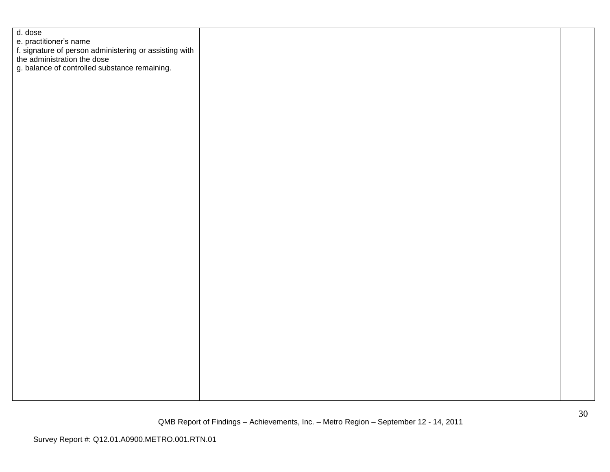| d. dose                                                                                                         |  |  |
|-----------------------------------------------------------------------------------------------------------------|--|--|
|                                                                                                                 |  |  |
| e. practitioner's name<br>f. signature of person administering or assisting with<br>the administration the dose |  |  |
|                                                                                                                 |  |  |
| g. balance of controlled substance remaining.                                                                   |  |  |
|                                                                                                                 |  |  |
|                                                                                                                 |  |  |
|                                                                                                                 |  |  |
|                                                                                                                 |  |  |
|                                                                                                                 |  |  |
|                                                                                                                 |  |  |
|                                                                                                                 |  |  |
|                                                                                                                 |  |  |
|                                                                                                                 |  |  |
|                                                                                                                 |  |  |
|                                                                                                                 |  |  |
|                                                                                                                 |  |  |
|                                                                                                                 |  |  |
|                                                                                                                 |  |  |
|                                                                                                                 |  |  |
|                                                                                                                 |  |  |
|                                                                                                                 |  |  |
|                                                                                                                 |  |  |
|                                                                                                                 |  |  |
|                                                                                                                 |  |  |
|                                                                                                                 |  |  |
|                                                                                                                 |  |  |
|                                                                                                                 |  |  |
|                                                                                                                 |  |  |
|                                                                                                                 |  |  |
|                                                                                                                 |  |  |
|                                                                                                                 |  |  |
|                                                                                                                 |  |  |
|                                                                                                                 |  |  |
|                                                                                                                 |  |  |
|                                                                                                                 |  |  |
|                                                                                                                 |  |  |
|                                                                                                                 |  |  |
|                                                                                                                 |  |  |
|                                                                                                                 |  |  |
|                                                                                                                 |  |  |
|                                                                                                                 |  |  |
|                                                                                                                 |  |  |
|                                                                                                                 |  |  |
|                                                                                                                 |  |  |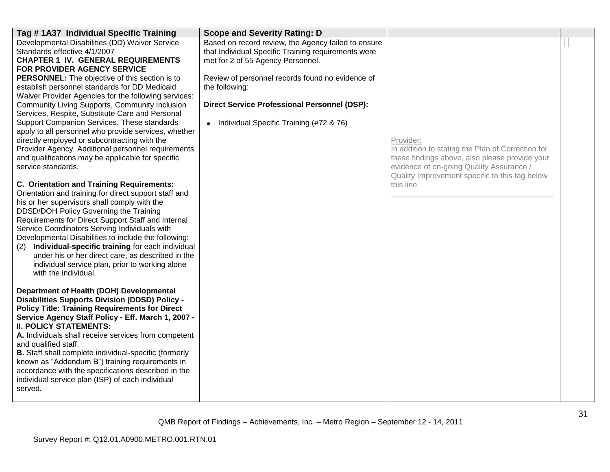| Tag #1A37 Individual Specific Training                                                                                                                                                                                                                                                                                                                                                                                                                                                                                                                                                                                                                                                                                    | <b>Scope and Severity Rating: D</b>                                                                                                                                                                                                                                                                                                  |                                                                                                                                                              |  |
|---------------------------------------------------------------------------------------------------------------------------------------------------------------------------------------------------------------------------------------------------------------------------------------------------------------------------------------------------------------------------------------------------------------------------------------------------------------------------------------------------------------------------------------------------------------------------------------------------------------------------------------------------------------------------------------------------------------------------|--------------------------------------------------------------------------------------------------------------------------------------------------------------------------------------------------------------------------------------------------------------------------------------------------------------------------------------|--------------------------------------------------------------------------------------------------------------------------------------------------------------|--|
| Developmental Disabilities (DD) Waiver Service<br>Standards effective 4/1/2007<br><b>CHAPTER 1 IV. GENERAL REQUIREMENTS</b><br>FOR PROVIDER AGENCY SERVICE<br><b>PERSONNEL:</b> The objective of this section is to<br>establish personnel standards for DD Medicaid<br>Waiver Provider Agencies for the following services:<br>Community Living Supports, Community Inclusion<br>Services, Respite, Substitute Care and Personal<br>Support Companion Services. These standards<br>apply to all personnel who provide services, whether<br>directly employed or subcontracting with the<br>Provider Agency. Additional personnel requirements<br>and qualifications may be applicable for specific<br>service standards. | Based on record review, the Agency failed to ensure<br>that Individual Specific Training requirements were<br>met for 2 of 55 Agency Personnel.<br>Review of personnel records found no evidence of<br>the following:<br><b>Direct Service Professional Personnel (DSP):</b><br>Individual Specific Training (#72 & 76)<br>$\bullet$ | Provider:<br>In addition to stating the Plan of Correction for<br>these findings above, also please provide your<br>evidence of on-going Quality Assurance / |  |
| <b>C. Orientation and Training Requirements:</b><br>Orientation and training for direct support staff and<br>his or her supervisors shall comply with the<br>DDSD/DOH Policy Governing the Training<br>Requirements for Direct Support Staff and Internal<br>Service Coordinators Serving Individuals with<br>Developmental Disabilities to include the following:<br>Individual-specific training for each individual<br>(2)<br>under his or her direct care, as described in the<br>individual service plan, prior to working alone<br>with the individual.                                                                                                                                                             |                                                                                                                                                                                                                                                                                                                                      | Quality Improvement specific to this tag below<br>this line.                                                                                                 |  |
| Department of Health (DOH) Developmental<br><b>Disabilities Supports Division (DDSD) Policy -</b><br><b>Policy Title: Training Requirements for Direct</b><br>Service Agency Staff Policy - Eff. March 1, 2007 -<br><b>II. POLICY STATEMENTS:</b><br>A. Individuals shall receive services from competent<br>and qualified staff.<br><b>B.</b> Staff shall complete individual-specific (formerly<br>known as "Addendum B") training requirements in<br>accordance with the specifications described in the<br>individual service plan (ISP) of each individual<br>served.                                                                                                                                                |                                                                                                                                                                                                                                                                                                                                      |                                                                                                                                                              |  |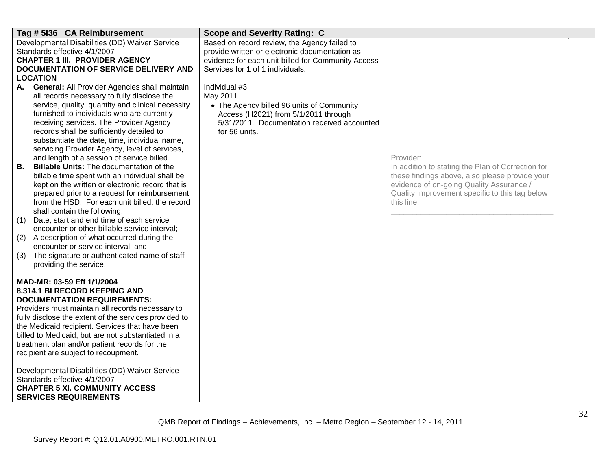| Tag # 5136 CA Reimbursement                                                                                                                                                                                                                                                                                                                                                                                                                                                                                                                                                                                                                                                                                                                                                                                                                                                                                                                                                                                                            | <b>Scope and Severity Rating: C</b>                                                                                                                                                      |                                                                                                                                                                                                                              |  |
|----------------------------------------------------------------------------------------------------------------------------------------------------------------------------------------------------------------------------------------------------------------------------------------------------------------------------------------------------------------------------------------------------------------------------------------------------------------------------------------------------------------------------------------------------------------------------------------------------------------------------------------------------------------------------------------------------------------------------------------------------------------------------------------------------------------------------------------------------------------------------------------------------------------------------------------------------------------------------------------------------------------------------------------|------------------------------------------------------------------------------------------------------------------------------------------------------------------------------------------|------------------------------------------------------------------------------------------------------------------------------------------------------------------------------------------------------------------------------|--|
| Developmental Disabilities (DD) Waiver Service<br>Standards effective 4/1/2007<br><b>CHAPTER 1 III. PROVIDER AGENCY</b><br>DOCUMENTATION OF SERVICE DELIVERY AND<br><b>LOCATION</b>                                                                                                                                                                                                                                                                                                                                                                                                                                                                                                                                                                                                                                                                                                                                                                                                                                                    | Based on record review, the Agency failed to<br>provide written or electronic documentation as<br>evidence for each unit billed for Community Access<br>Services for 1 of 1 individuals. |                                                                                                                                                                                                                              |  |
| <b>General: All Provider Agencies shall maintain</b><br>А.<br>all records necessary to fully disclose the<br>service, quality, quantity and clinical necessity<br>furnished to individuals who are currently<br>receiving services. The Provider Agency<br>records shall be sufficiently detailed to<br>substantiate the date, time, individual name,<br>servicing Provider Agency, level of services,<br>and length of a session of service billed.<br><b>Billable Units: The documentation of the</b><br>В.<br>billable time spent with an individual shall be<br>kept on the written or electronic record that is<br>prepared prior to a request for reimbursement<br>from the HSD. For each unit billed, the record<br>shall contain the following:<br>Date, start and end time of each service<br>(1)<br>encounter or other billable service interval;<br>A description of what occurred during the<br>(2)<br>encounter or service interval; and<br>The signature or authenticated name of staff<br>(3)<br>providing the service. | Individual #3<br>May 2011<br>• The Agency billed 96 units of Community<br>Access (H2021) from 5/1/2011 through<br>5/31/2011. Documentation received accounted<br>for 56 units.           | Provider:<br>In addition to stating the Plan of Correction for<br>these findings above, also please provide your<br>evidence of on-going Quality Assurance /<br>Quality Improvement specific to this tag below<br>this line. |  |
| MAD-MR: 03-59 Eff 1/1/2004<br>8.314.1 BI RECORD KEEPING AND<br><b>DOCUMENTATION REQUIREMENTS:</b><br>Providers must maintain all records necessary to<br>fully disclose the extent of the services provided to<br>the Medicaid recipient. Services that have been<br>billed to Medicaid, but are not substantiated in a<br>treatment plan and/or patient records for the<br>recipient are subject to recoupment.<br>Developmental Disabilities (DD) Waiver Service<br>Standards effective 4/1/2007<br><b>CHAPTER 5 XI. COMMUNITY ACCESS</b><br><b>SERVICES REQUIREMENTS</b>                                                                                                                                                                                                                                                                                                                                                                                                                                                            |                                                                                                                                                                                          |                                                                                                                                                                                                                              |  |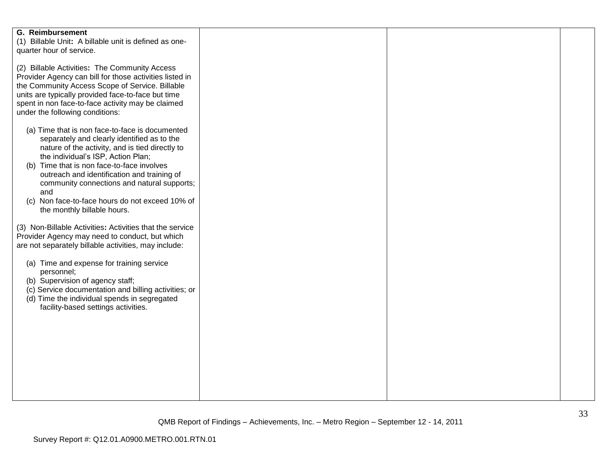| <b>G. Reimbursement</b><br>(1) Billable Unit: A billable unit is defined as one-<br>quarter hour of service.                                                                                                                                                                                                                                                                                                                 |  |  |
|------------------------------------------------------------------------------------------------------------------------------------------------------------------------------------------------------------------------------------------------------------------------------------------------------------------------------------------------------------------------------------------------------------------------------|--|--|
| (2) Billable Activities: The Community Access<br>Provider Agency can bill for those activities listed in<br>the Community Access Scope of Service. Billable<br>units are typically provided face-to-face but time<br>spent in non face-to-face activity may be claimed<br>under the following conditions:                                                                                                                    |  |  |
| (a) Time that is non face-to-face is documented<br>separately and clearly identified as to the<br>nature of the activity, and is tied directly to<br>the individual's ISP, Action Plan;<br>(b) Time that is non face-to-face involves<br>outreach and identification and training of<br>community connections and natural supports;<br>and<br>(c) Non face-to-face hours do not exceed 10% of<br>the monthly billable hours. |  |  |
| (3) Non-Billable Activities: Activities that the service<br>Provider Agency may need to conduct, but which<br>are not separately billable activities, may include:                                                                                                                                                                                                                                                           |  |  |
| (a) Time and expense for training service<br>personnel;<br>(b) Supervision of agency staff;<br>(c) Service documentation and billing activities; or<br>(d) Time the individual spends in segregated<br>facility-based settings activities.                                                                                                                                                                                   |  |  |
|                                                                                                                                                                                                                                                                                                                                                                                                                              |  |  |
|                                                                                                                                                                                                                                                                                                                                                                                                                              |  |  |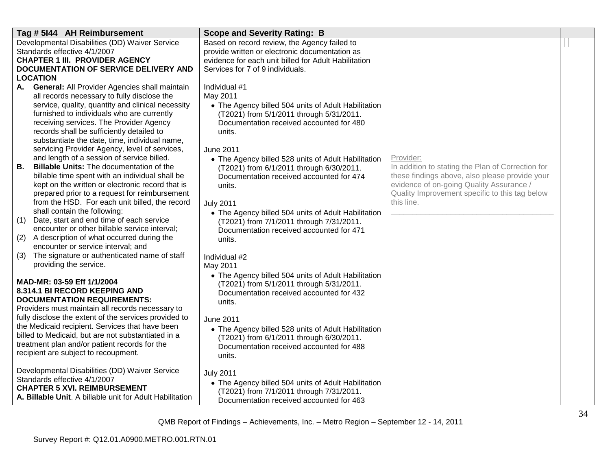| Tag # 5144 AH Reimbursement                                                                         | <b>Scope and Severity Rating: B</b>                                                             |                                                                                                     |  |
|-----------------------------------------------------------------------------------------------------|-------------------------------------------------------------------------------------------------|-----------------------------------------------------------------------------------------------------|--|
| Developmental Disabilities (DD) Waiver Service                                                      | Based on record review, the Agency failed to                                                    |                                                                                                     |  |
| Standards effective 4/1/2007                                                                        | provide written or electronic documentation as                                                  |                                                                                                     |  |
| <b>CHAPTER 1 III. PROVIDER AGENCY</b>                                                               | evidence for each unit billed for Adult Habilitation                                            |                                                                                                     |  |
| DOCUMENTATION OF SERVICE DELIVERY AND                                                               | Services for 7 of 9 individuals.                                                                |                                                                                                     |  |
| LOCATION                                                                                            |                                                                                                 |                                                                                                     |  |
| General: All Provider Agencies shall maintain<br>А.                                                 | Individual #1                                                                                   |                                                                                                     |  |
| all records necessary to fully disclose the                                                         | May 2011                                                                                        |                                                                                                     |  |
| service, quality, quantity and clinical necessity                                                   | • The Agency billed 504 units of Adult Habilitation                                             |                                                                                                     |  |
| furnished to individuals who are currently                                                          | (T2021) from 5/1/2011 through 5/31/2011.                                                        |                                                                                                     |  |
| receiving services. The Provider Agency                                                             | Documentation received accounted for 480                                                        |                                                                                                     |  |
| records shall be sufficiently detailed to                                                           | units.                                                                                          |                                                                                                     |  |
| substantiate the date, time, individual name,                                                       |                                                                                                 |                                                                                                     |  |
| servicing Provider Agency, level of services,                                                       | June 2011                                                                                       |                                                                                                     |  |
| and length of a session of service billed.<br><b>Billable Units: The documentation of the</b><br>В. | • The Agency billed 528 units of Adult Habilitation                                             | Provider:                                                                                           |  |
| billable time spent with an individual shall be                                                     | (T2021) from 6/1/2011 through 6/30/2011.                                                        | In addition to stating the Plan of Correction for<br>these findings above, also please provide your |  |
| kept on the written or electronic record that is                                                    | Documentation received accounted for 474                                                        | evidence of on-going Quality Assurance /                                                            |  |
| prepared prior to a request for reimbursement                                                       | units.                                                                                          | Quality Improvement specific to this tag below                                                      |  |
| from the HSD. For each unit billed, the record                                                      | <b>July 2011</b>                                                                                | this line.                                                                                          |  |
| shall contain the following:                                                                        | • The Agency billed 504 units of Adult Habilitation                                             |                                                                                                     |  |
| Date, start and end time of each service<br>(1)                                                     | (T2021) from 7/1/2011 through 7/31/2011.                                                        |                                                                                                     |  |
| encounter or other billable service interval;                                                       | Documentation received accounted for 471                                                        |                                                                                                     |  |
| A description of what occurred during the<br>(2)                                                    | units.                                                                                          |                                                                                                     |  |
| encounter or service interval; and                                                                  |                                                                                                 |                                                                                                     |  |
| The signature or authenticated name of staff<br>(3)                                                 | Individual #2                                                                                   |                                                                                                     |  |
| providing the service.                                                                              | May 2011                                                                                        |                                                                                                     |  |
|                                                                                                     | • The Agency billed 504 units of Adult Habilitation                                             |                                                                                                     |  |
| MAD-MR: 03-59 Eff 1/1/2004                                                                          | (T2021) from 5/1/2011 through 5/31/2011.                                                        |                                                                                                     |  |
| 8.314.1 BI RECORD KEEPING AND                                                                       | Documentation received accounted for 432                                                        |                                                                                                     |  |
| <b>DOCUMENTATION REQUIREMENTS:</b>                                                                  | units.                                                                                          |                                                                                                     |  |
| Providers must maintain all records necessary to                                                    |                                                                                                 |                                                                                                     |  |
| fully disclose the extent of the services provided to                                               | <b>June 2011</b>                                                                                |                                                                                                     |  |
| the Medicaid recipient. Services that have been                                                     | • The Agency billed 528 units of Adult Habilitation                                             |                                                                                                     |  |
| billed to Medicaid, but are not substantiated in a                                                  | (T2021) from 6/1/2011 through 6/30/2011.                                                        |                                                                                                     |  |
| treatment plan and/or patient records for the                                                       | Documentation received accounted for 488                                                        |                                                                                                     |  |
| recipient are subject to recoupment.                                                                | units.                                                                                          |                                                                                                     |  |
| Developmental Disabilities (DD) Waiver Service                                                      |                                                                                                 |                                                                                                     |  |
| Standards effective 4/1/2007                                                                        | <b>July 2011</b>                                                                                |                                                                                                     |  |
| <b>CHAPTER 5 XVI. REIMBURSEMENT</b>                                                                 | • The Agency billed 504 units of Adult Habilitation<br>(T2021) from 7/1/2011 through 7/31/2011. |                                                                                                     |  |
| A. Billable Unit. A billable unit for Adult Habilitation                                            | Documentation received accounted for 463                                                        |                                                                                                     |  |
|                                                                                                     |                                                                                                 |                                                                                                     |  |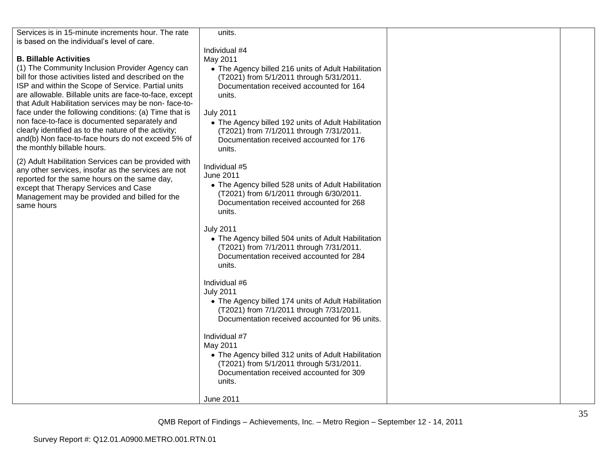| Services is in 15-minute increments hour. The rate     | units.                                                                                          |  |
|--------------------------------------------------------|-------------------------------------------------------------------------------------------------|--|
| is based on the individual's level of care.            |                                                                                                 |  |
|                                                        | Individual #4                                                                                   |  |
| <b>B. Billable Activities</b>                          | May 2011                                                                                        |  |
| (1) The Community Inclusion Provider Agency can        | • The Agency billed 216 units of Adult Habilitation                                             |  |
| bill for those activities listed and described on the  | (T2021) from 5/1/2011 through 5/31/2011.                                                        |  |
| ISP and within the Scope of Service. Partial units     | Documentation received accounted for 164                                                        |  |
| are allowable. Billable units are face-to-face, except | units.                                                                                          |  |
| that Adult Habilitation services may be non-face-to-   |                                                                                                 |  |
| face under the following conditions: (a) Time that is  | <b>July 2011</b>                                                                                |  |
| non face-to-face is documented separately and          | • The Agency billed 192 units of Adult Habilitation                                             |  |
| clearly identified as to the nature of the activity;   | (T2021) from 7/1/2011 through 7/31/2011.                                                        |  |
| and(b) Non face-to-face hours do not exceed 5% of      | Documentation received accounted for 176                                                        |  |
| the monthly billable hours.                            | units.                                                                                          |  |
| (2) Adult Habilitation Services can be provided with   |                                                                                                 |  |
| any other services, insofar as the services are not    | Individual #5                                                                                   |  |
| reported for the same hours on the same day,           | <b>June 2011</b>                                                                                |  |
| except that Therapy Services and Case                  | • The Agency billed 528 units of Adult Habilitation                                             |  |
| Management may be provided and billed for the          | (T2021) from 6/1/2011 through 6/30/2011.                                                        |  |
| same hours                                             | Documentation received accounted for 268<br>units.                                              |  |
|                                                        |                                                                                                 |  |
|                                                        | <b>July 2011</b>                                                                                |  |
|                                                        | • The Agency billed 504 units of Adult Habilitation                                             |  |
|                                                        | (T2021) from 7/1/2011 through 7/31/2011.                                                        |  |
|                                                        | Documentation received accounted for 284                                                        |  |
|                                                        | units.                                                                                          |  |
|                                                        |                                                                                                 |  |
|                                                        | Individual #6                                                                                   |  |
|                                                        | <b>July 2011</b>                                                                                |  |
|                                                        | • The Agency billed 174 units of Adult Habilitation                                             |  |
|                                                        | (T2021) from 7/1/2011 through 7/31/2011.                                                        |  |
|                                                        | Documentation received accounted for 96 units.                                                  |  |
|                                                        |                                                                                                 |  |
|                                                        | Individual #7                                                                                   |  |
|                                                        | May 2011                                                                                        |  |
|                                                        | • The Agency billed 312 units of Adult Habilitation<br>(T2021) from 5/1/2011 through 5/31/2011. |  |
|                                                        | Documentation received accounted for 309                                                        |  |
|                                                        | units.                                                                                          |  |
|                                                        |                                                                                                 |  |
|                                                        | June 2011                                                                                       |  |
|                                                        |                                                                                                 |  |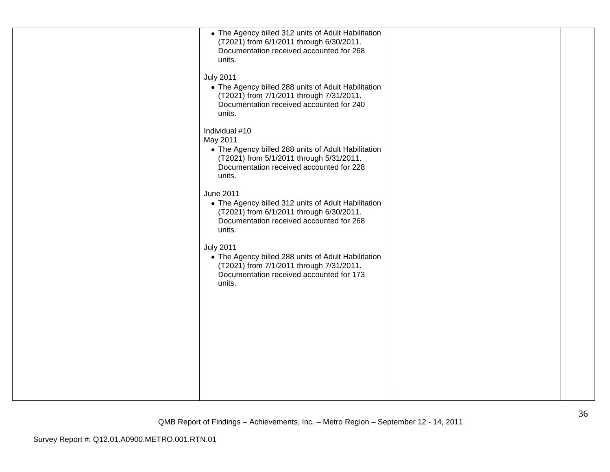| • The Agency billed 312 units of Adult Habilitation<br>(T2021) from 6/1/2011 through 6/30/2011.<br>Documentation received accounted for 268<br>units.                               |  |
|-------------------------------------------------------------------------------------------------------------------------------------------------------------------------------------|--|
| <b>July 2011</b><br>• The Agency billed 288 units of Adult Habilitation<br>(T2021) from 7/1/2011 through 7/31/2011.<br>Documentation received accounted for 240<br>units.           |  |
| Individual #10<br>May 2011<br>• The Agency billed 288 units of Adult Habilitation<br>(T2021) from 5/1/2011 through 5/31/2011.<br>Documentation received accounted for 228<br>units. |  |
| <b>June 2011</b><br>• The Agency billed 312 units of Adult Habilitation<br>(T2021) from 6/1/2011 through 6/30/2011.<br>Documentation received accounted for 268<br>units.           |  |
| <b>July 2011</b><br>• The Agency billed 288 units of Adult Habilitation<br>(T2021) from 7/1/2011 through 7/31/2011.<br>Documentation received accounted for 173<br>units.           |  |
|                                                                                                                                                                                     |  |
|                                                                                                                                                                                     |  |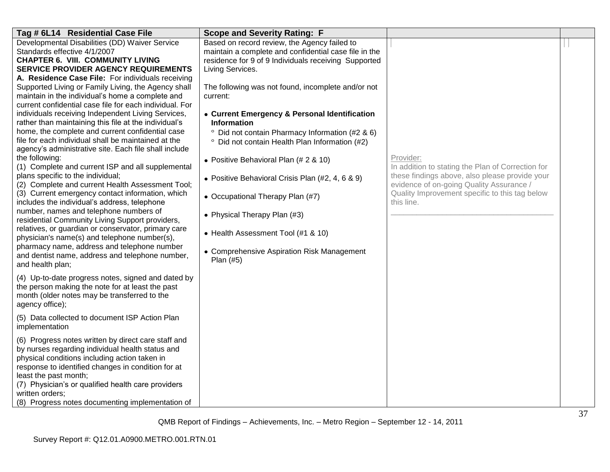| Tag # 6L14 Residential Case File                                                                        | <b>Scope and Severity Rating: F</b>                      |                                                   |  |
|---------------------------------------------------------------------------------------------------------|----------------------------------------------------------|---------------------------------------------------|--|
| Developmental Disabilities (DD) Waiver Service                                                          | Based on record review, the Agency failed to             |                                                   |  |
| Standards effective 4/1/2007                                                                            | maintain a complete and confidential case file in the    |                                                   |  |
| <b>CHAPTER 6. VIII. COMMUNITY LIVING</b>                                                                | residence for 9 of 9 Individuals receiving Supported     |                                                   |  |
| <b>SERVICE PROVIDER AGENCY REQUIREMENTS</b>                                                             | Living Services.                                         |                                                   |  |
| A. Residence Case File: For individuals receiving                                                       |                                                          |                                                   |  |
| Supported Living or Family Living, the Agency shall<br>maintain in the individual's home a complete and | The following was not found, incomplete and/or not       |                                                   |  |
| current confidential case file for each individual. For                                                 | current:                                                 |                                                   |  |
| individuals receiving Independent Living Services,                                                      | • Current Emergency & Personal Identification            |                                                   |  |
| rather than maintaining this file at the individual's                                                   | <b>Information</b>                                       |                                                   |  |
| home, the complete and current confidential case                                                        | Did not contain Pharmacy Information (#2 & 6)<br>$\circ$ |                                                   |  |
| file for each individual shall be maintained at the                                                     | Did not contain Health Plan Information (#2)<br>$\circ$  |                                                   |  |
| agency's administrative site. Each file shall include                                                   |                                                          |                                                   |  |
| the following:                                                                                          | • Positive Behavioral Plan (# 2 & 10)                    | Provider:                                         |  |
| (1) Complete and current ISP and all supplemental                                                       |                                                          | In addition to stating the Plan of Correction for |  |
| plans specific to the individual;                                                                       | • Positive Behavioral Crisis Plan (#2, 4, 6 & 9)         | these findings above, also please provide your    |  |
| (2) Complete and current Health Assessment Tool;                                                        |                                                          | evidence of on-going Quality Assurance /          |  |
| (3) Current emergency contact information, which                                                        | • Occupational Therapy Plan (#7)                         | Quality Improvement specific to this tag below    |  |
| includes the individual's address, telephone                                                            |                                                          | this line.                                        |  |
| number, names and telephone numbers of                                                                  | • Physical Therapy Plan (#3)                             |                                                   |  |
| residential Community Living Support providers,                                                         |                                                          |                                                   |  |
| relatives, or guardian or conservator, primary care                                                     | • Health Assessment Tool (#1 & 10)                       |                                                   |  |
| physician's name(s) and telephone number(s),<br>pharmacy name, address and telephone number             |                                                          |                                                   |  |
| and dentist name, address and telephone number,                                                         | • Comprehensive Aspiration Risk Management               |                                                   |  |
| and health plan;                                                                                        | Plan (#5)                                                |                                                   |  |
|                                                                                                         |                                                          |                                                   |  |
| (4) Up-to-date progress notes, signed and dated by                                                      |                                                          |                                                   |  |
| the person making the note for at least the past                                                        |                                                          |                                                   |  |
| month (older notes may be transferred to the                                                            |                                                          |                                                   |  |
| agency office);                                                                                         |                                                          |                                                   |  |
| (5) Data collected to document ISP Action Plan                                                          |                                                          |                                                   |  |
| implementation                                                                                          |                                                          |                                                   |  |
| (6) Progress notes written by direct care staff and                                                     |                                                          |                                                   |  |
| by nurses regarding individual health status and                                                        |                                                          |                                                   |  |
| physical conditions including action taken in                                                           |                                                          |                                                   |  |
| response to identified changes in condition for at                                                      |                                                          |                                                   |  |
| least the past month;                                                                                   |                                                          |                                                   |  |
| (7) Physician's or qualified health care providers                                                      |                                                          |                                                   |  |
| written orders;                                                                                         |                                                          |                                                   |  |
| (8) Progress notes documenting implementation of                                                        |                                                          |                                                   |  |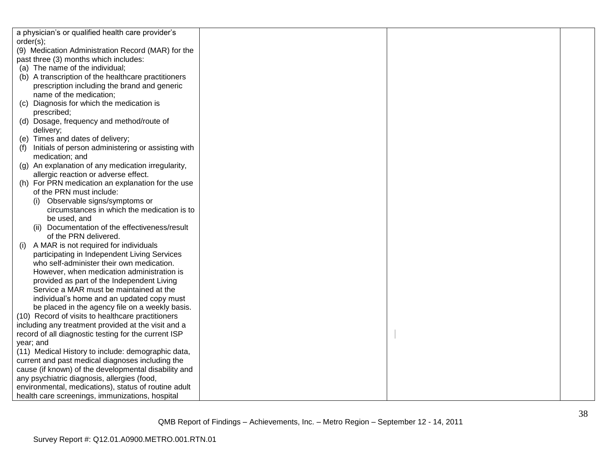| a physician's or qualified health care provider's    |  |  |
|------------------------------------------------------|--|--|
| order(s);                                            |  |  |
| (9) Medication Administration Record (MAR) for the   |  |  |
| past three (3) months which includes:                |  |  |
| (a) The name of the individual;                      |  |  |
| (b) A transcription of the healthcare practitioners  |  |  |
| prescription including the brand and generic         |  |  |
| name of the medication;                              |  |  |
| Diagnosis for which the medication is<br>(c)         |  |  |
| prescribed;                                          |  |  |
| (d) Dosage, frequency and method/route of            |  |  |
| delivery;                                            |  |  |
| (e) Times and dates of delivery;                     |  |  |
| Initials of person administering or assisting with   |  |  |
| medication; and                                      |  |  |
| (g) An explanation of any medication irregularity,   |  |  |
| allergic reaction or adverse effect.                 |  |  |
| (h) For PRN medication an explanation for the use    |  |  |
| of the PRN must include:                             |  |  |
| Observable signs/symptoms or                         |  |  |
| circumstances in which the medication is to          |  |  |
| be used, and                                         |  |  |
| (ii) Documentation of the effectiveness/result       |  |  |
| of the PRN delivered.                                |  |  |
| A MAR is not required for individuals<br>(i)         |  |  |
| participating in Independent Living Services         |  |  |
| who self-administer their own medication.            |  |  |
| However, when medication administration is           |  |  |
| provided as part of the Independent Living           |  |  |
| Service a MAR must be maintained at the              |  |  |
| individual's home and an updated copy must           |  |  |
| be placed in the agency file on a weekly basis.      |  |  |
| (10) Record of visits to healthcare practitioners    |  |  |
| including any treatment provided at the visit and a  |  |  |
| record of all diagnostic testing for the current ISP |  |  |
| year; and                                            |  |  |
| (11) Medical History to include: demographic data,   |  |  |
| current and past medical diagnoses including the     |  |  |
| cause (if known) of the developmental disability and |  |  |
| any psychiatric diagnosis, allergies (food,          |  |  |
| environmental, medications), status of routine adult |  |  |
| health care screenings, immunizations, hospital      |  |  |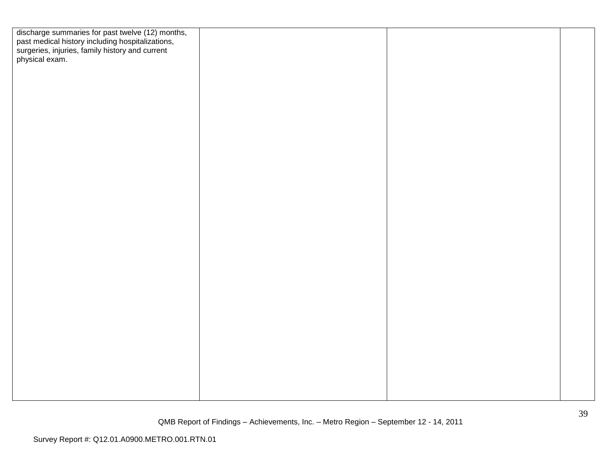| discharge summaries for past twelve (12) months,<br>past medical history including hospitalizations,<br>surgeries, injuries, family history and current<br>physical exam. |  |  |
|---------------------------------------------------------------------------------------------------------------------------------------------------------------------------|--|--|
|                                                                                                                                                                           |  |  |
|                                                                                                                                                                           |  |  |
|                                                                                                                                                                           |  |  |
|                                                                                                                                                                           |  |  |
|                                                                                                                                                                           |  |  |
|                                                                                                                                                                           |  |  |
|                                                                                                                                                                           |  |  |
|                                                                                                                                                                           |  |  |
|                                                                                                                                                                           |  |  |
|                                                                                                                                                                           |  |  |
|                                                                                                                                                                           |  |  |
|                                                                                                                                                                           |  |  |
|                                                                                                                                                                           |  |  |
|                                                                                                                                                                           |  |  |
|                                                                                                                                                                           |  |  |
|                                                                                                                                                                           |  |  |
|                                                                                                                                                                           |  |  |
|                                                                                                                                                                           |  |  |
|                                                                                                                                                                           |  |  |
|                                                                                                                                                                           |  |  |
|                                                                                                                                                                           |  |  |
|                                                                                                                                                                           |  |  |
|                                                                                                                                                                           |  |  |
|                                                                                                                                                                           |  |  |
|                                                                                                                                                                           |  |  |
|                                                                                                                                                                           |  |  |
|                                                                                                                                                                           |  |  |
|                                                                                                                                                                           |  |  |
|                                                                                                                                                                           |  |  |
|                                                                                                                                                                           |  |  |
|                                                                                                                                                                           |  |  |
|                                                                                                                                                                           |  |  |
|                                                                                                                                                                           |  |  |
|                                                                                                                                                                           |  |  |
|                                                                                                                                                                           |  |  |
|                                                                                                                                                                           |  |  |
|                                                                                                                                                                           |  |  |
|                                                                                                                                                                           |  |  |
|                                                                                                                                                                           |  |  |
|                                                                                                                                                                           |  |  |
|                                                                                                                                                                           |  |  |
|                                                                                                                                                                           |  |  |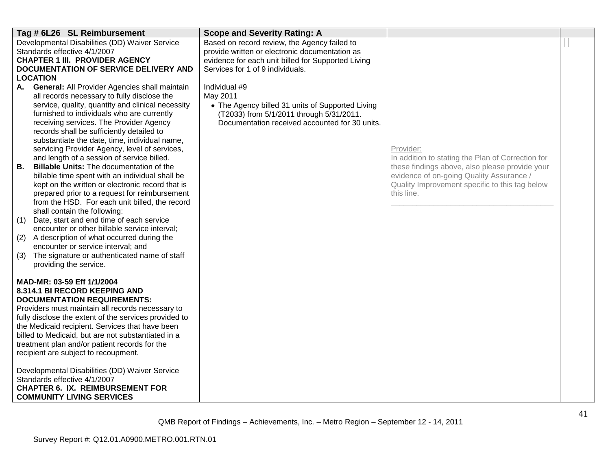| Tag # 6L26 SL Reimbursement                                                                                                                                                                                                                                                                                                                                                                                                                                                                                                                                                                                                                                                                                                                                                                                                                                                                                                                                                                                                            | <b>Scope and Severity Rating: A</b>                                                                                                                                                      |                                                                                                                                                                                                                              |  |
|----------------------------------------------------------------------------------------------------------------------------------------------------------------------------------------------------------------------------------------------------------------------------------------------------------------------------------------------------------------------------------------------------------------------------------------------------------------------------------------------------------------------------------------------------------------------------------------------------------------------------------------------------------------------------------------------------------------------------------------------------------------------------------------------------------------------------------------------------------------------------------------------------------------------------------------------------------------------------------------------------------------------------------------|------------------------------------------------------------------------------------------------------------------------------------------------------------------------------------------|------------------------------------------------------------------------------------------------------------------------------------------------------------------------------------------------------------------------------|--|
| Developmental Disabilities (DD) Waiver Service<br>Standards effective 4/1/2007<br><b>CHAPTER 1 III. PROVIDER AGENCY</b><br>DOCUMENTATION OF SERVICE DELIVERY AND<br><b>LOCATION</b>                                                                                                                                                                                                                                                                                                                                                                                                                                                                                                                                                                                                                                                                                                                                                                                                                                                    | Based on record review, the Agency failed to<br>provide written or electronic documentation as<br>evidence for each unit billed for Supported Living<br>Services for 1 of 9 individuals. |                                                                                                                                                                                                                              |  |
| <b>General: All Provider Agencies shall maintain</b><br>А.<br>all records necessary to fully disclose the<br>service, quality, quantity and clinical necessity<br>furnished to individuals who are currently<br>receiving services. The Provider Agency<br>records shall be sufficiently detailed to<br>substantiate the date, time, individual name,<br>servicing Provider Agency, level of services,<br>and length of a session of service billed.<br>В.<br><b>Billable Units: The documentation of the</b><br>billable time spent with an individual shall be<br>kept on the written or electronic record that is<br>prepared prior to a request for reimbursement<br>from the HSD. For each unit billed, the record<br>shall contain the following:<br>Date, start and end time of each service<br>(1)<br>encounter or other billable service interval;<br>A description of what occurred during the<br>(2)<br>encounter or service interval; and<br>The signature or authenticated name of staff<br>(3)<br>providing the service. | Individual #9<br>May 2011<br>• The Agency billed 31 units of Supported Living<br>(T2033) from 5/1/2011 through 5/31/2011.<br>Documentation received accounted for 30 units.              | Provider:<br>In addition to stating the Plan of Correction for<br>these findings above, also please provide your<br>evidence of on-going Quality Assurance /<br>Quality Improvement specific to this tag below<br>this line. |  |
| MAD-MR: 03-59 Eff 1/1/2004<br><b>8.314.1 BI RECORD KEEPING AND</b><br><b>DOCUMENTATION REQUIREMENTS:</b><br>Providers must maintain all records necessary to<br>fully disclose the extent of the services provided to<br>the Medicaid recipient. Services that have been<br>billed to Medicaid, but are not substantiated in a<br>treatment plan and/or patient records for the<br>recipient are subject to recoupment.<br>Developmental Disabilities (DD) Waiver Service<br>Standards effective 4/1/2007<br><b>CHAPTER 6. IX. REIMBURSEMENT FOR</b><br><b>COMMUNITY LIVING SERVICES</b>                                                                                                                                                                                                                                                                                                                                                                                                                                               |                                                                                                                                                                                          |                                                                                                                                                                                                                              |  |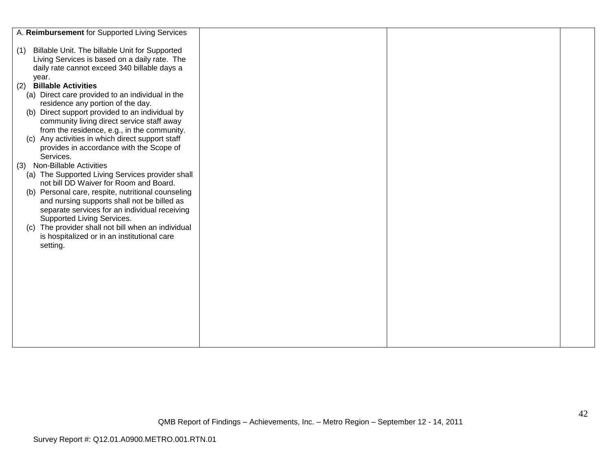| A. Reimbursement for Supported Living Services                                                                                                                  |  |  |
|-----------------------------------------------------------------------------------------------------------------------------------------------------------------|--|--|
| Billable Unit. The billable Unit for Supported<br>(1)<br>Living Services is based on a daily rate. The<br>daily rate cannot exceed 340 billable days a<br>year. |  |  |
| <b>Billable Activities</b>                                                                                                                                      |  |  |
| (2)                                                                                                                                                             |  |  |
| (a) Direct care provided to an individual in the                                                                                                                |  |  |
| residence any portion of the day.                                                                                                                               |  |  |
| Direct support provided to an individual by<br>(b)                                                                                                              |  |  |
| community living direct service staff away<br>from the residence, e.g., in the community.                                                                       |  |  |
| (c) Any activities in which direct support staff                                                                                                                |  |  |
| provides in accordance with the Scope of                                                                                                                        |  |  |
| Services.                                                                                                                                                       |  |  |
| <b>Non-Billable Activities</b><br>(3)                                                                                                                           |  |  |
| (a) The Supported Living Services provider shall                                                                                                                |  |  |
| not bill DD Waiver for Room and Board.                                                                                                                          |  |  |
| (b) Personal care, respite, nutritional counseling                                                                                                              |  |  |
| and nursing supports shall not be billed as                                                                                                                     |  |  |
| separate services for an individual receiving                                                                                                                   |  |  |
| Supported Living Services.                                                                                                                                      |  |  |
| (c) The provider shall not bill when an individual                                                                                                              |  |  |
| is hospitalized or in an institutional care                                                                                                                     |  |  |
| setting.                                                                                                                                                        |  |  |
|                                                                                                                                                                 |  |  |
|                                                                                                                                                                 |  |  |
|                                                                                                                                                                 |  |  |
|                                                                                                                                                                 |  |  |
|                                                                                                                                                                 |  |  |
|                                                                                                                                                                 |  |  |
|                                                                                                                                                                 |  |  |
|                                                                                                                                                                 |  |  |
|                                                                                                                                                                 |  |  |
|                                                                                                                                                                 |  |  |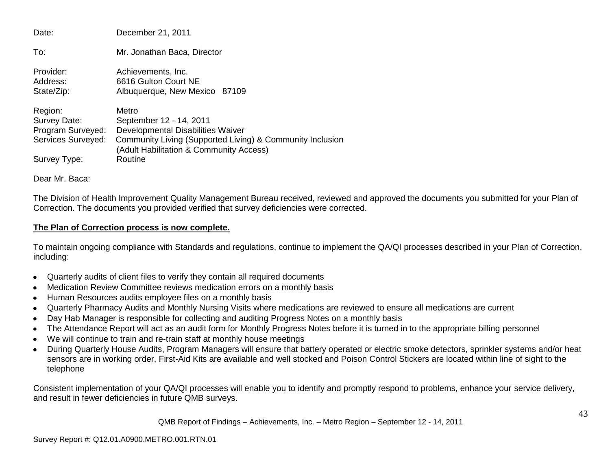| Date:                                                                              | December 21, 2011                                                                                                                                                                        |
|------------------------------------------------------------------------------------|------------------------------------------------------------------------------------------------------------------------------------------------------------------------------------------|
| To:                                                                                | Mr. Jonathan Baca, Director                                                                                                                                                              |
| Provider:<br>Address:<br>State/Zip:                                                | Achievements, Inc.<br>6616 Gulton Court NE<br>Albuquerque, New Mexico 87109                                                                                                              |
| Region:<br>Survey Date:<br>Program Surveyed:<br>Services Surveyed:<br>Survey Type: | Metro<br>September 12 - 14, 2011<br>Developmental Disabilities Waiver<br>Community Living (Supported Living) & Community Inclusion<br>(Adult Habilitation & Community Access)<br>Routine |

Dear Mr. Baca:

The Division of Health Improvement Quality Management Bureau received, reviewed and approved the documents you submitted for your Plan of Correction. The documents you provided verified that survey deficiencies were corrected.

# **The Plan of Correction process is now complete.**

To maintain ongoing compliance with Standards and regulations, continue to implement the QA/QI processes described in your Plan of Correction, including:

- Quarterly audits of client files to verify they contain all required documents
- Medication Review Committee reviews medication errors on a monthly basis
- Human Resources audits employee files on a monthly basis
- Quarterly Pharmacy Audits and Monthly Nursing Visits where medications are reviewed to ensure all medications are current
- Day Hab Manager is responsible for collecting and auditing Progress Notes on a monthly basis
- The Attendance Report will act as an audit form for Monthly Progress Notes before it is turned in to the appropriate billing personnel  $\bullet$
- We will continue to train and re-train staff at monthly house meetings
- During Quarterly House Audits, Program Managers will ensure that battery operated or electric smoke detectors, sprinkler systems and/or heat sensors are in working order, First-Aid Kits are available and well stocked and Poison Control Stickers are located within line of sight to the telephone

Consistent implementation of your QA/QI processes will enable you to identify and promptly respond to problems, enhance your service delivery, and result in fewer deficiencies in future QMB surveys.